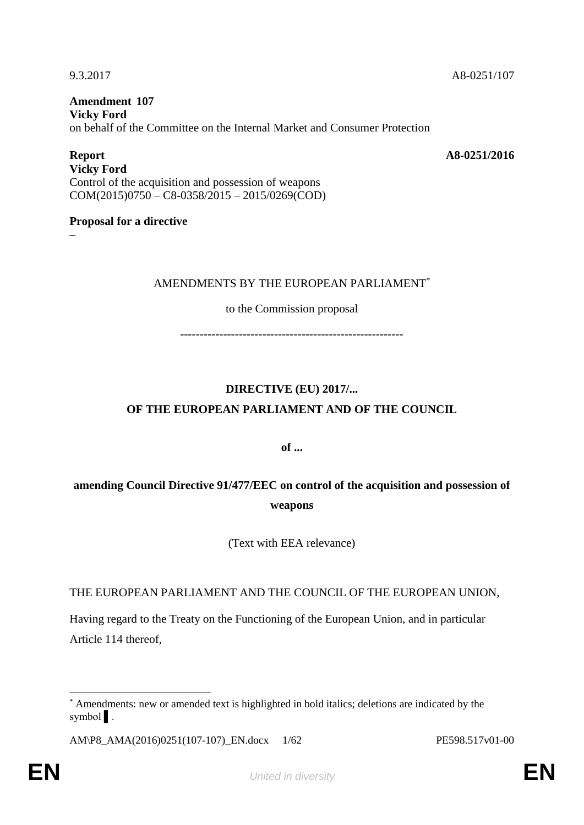9.3.2017 A8-0251/107

**Amendment 107 Vicky Ford** on behalf of the Committee on the Internal Market and Consumer Protection

**Report A8-0251/2016**

**Vicky Ford** Control of the acquisition and possession of weapons COM(2015)0750 – C8-0358/2015 – 2015/0269(COD)

## **Proposal for a directive**

**–**

## AMENDMENTS BY THE EUROPEAN PARLIAMENT\*

## to the Commission proposal

---------------------------------------------------------

# **DIRECTIVE (EU) 2017/... OF THE EUROPEAN PARLIAMENT AND OF THE COUNCIL**

**of ...**

## **amending Council Directive 91/477/EEC on control of the acquisition and possession of weapons**

(Text with EEA relevance)

THE EUROPEAN PARLIAMENT AND THE COUNCIL OF THE EUROPEAN UNION,

Having regard to the Treaty on the Functioning of the European Union, and in particular Article 114 thereof,

 $\overline{a}$ \* Amendments: new or amended text is highlighted in bold italics; deletions are indicated by the symbol ▌.

AM\P8\_AMA(2016)0251(107-107)\_EN.docx 1/62 PE598.517v01-00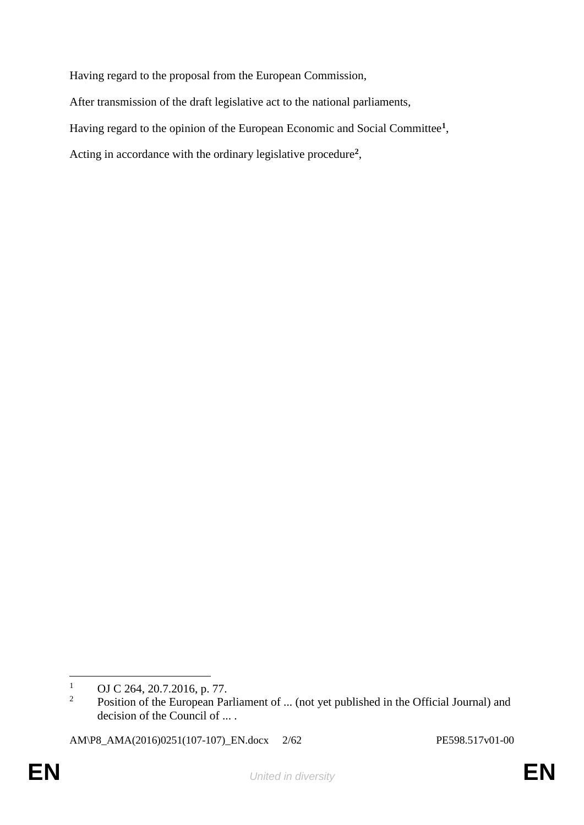Having regard to the proposal from the European Commission,

After transmission of the draft legislative act to the national parliaments,

Having regard to the opinion of the European Economic and Social Committee**<sup>1</sup>** ,

Acting in accordance with the ordinary legislative procedure**<sup>2</sup>** ,

AM\P8\_AMA(2016)0251(107-107)\_EN.docx 2/62 PE598.517v01-00

 $\overline{a}$ <sup>1</sup> OJ C 264, 20.7.2016, p. 77.

Position of the European Parliament of ... (not yet published in the Official Journal) and decision of the Council of ... .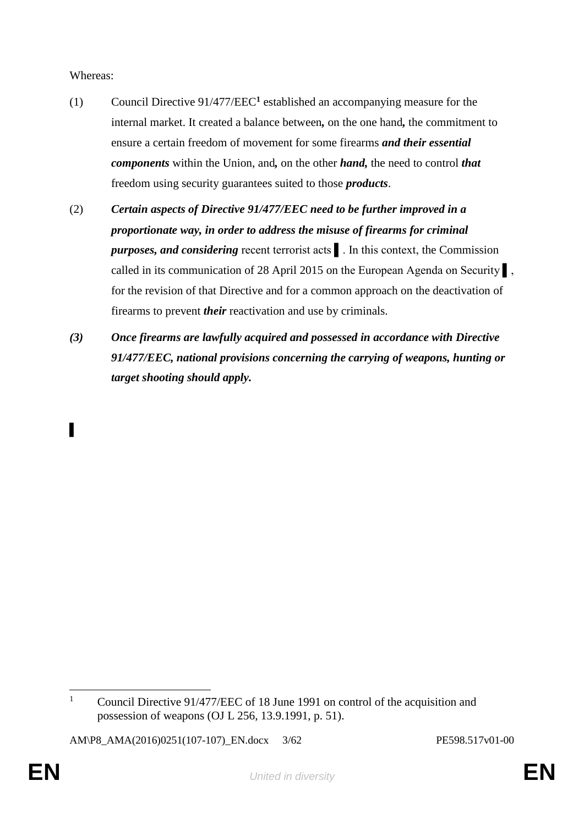Whereas:

▌

- (1) Council Directive 91/477/EEC**<sup>1</sup>** established an accompanying measure for the internal market. It created a balance between*,* on the one hand*,* the commitment to ensure a certain freedom of movement for some firearms *and their essential components* within the Union, and*,* on the other *hand,* the need to control *that* freedom using security guarantees suited to those *products*.
- (2) *Certain aspects of Directive 91/477/EEC need to be further improved in a proportionate way, in order to address the misuse of firearms for criminal purposes, and considering* recent terrorist acts ▌. In this context, the Commission called in its communication of 28 April 2015 on the European Agenda on Security ▌, for the revision of that Directive and for a common approach on the deactivation of firearms to prevent *their* reactivation and use by criminals.
- *(3) Once firearms are lawfully acquired and possessed in accordance with Directive 91/477/EEC, national provisions concerning the carrying of weapons, hunting or target shooting should apply.*

 $\mathbf{1}$ <sup>1</sup> Council Directive 91/477/EEC of 18 June 1991 on control of the acquisition and possession of weapons (OJ L 256, 13.9.1991, p. 51).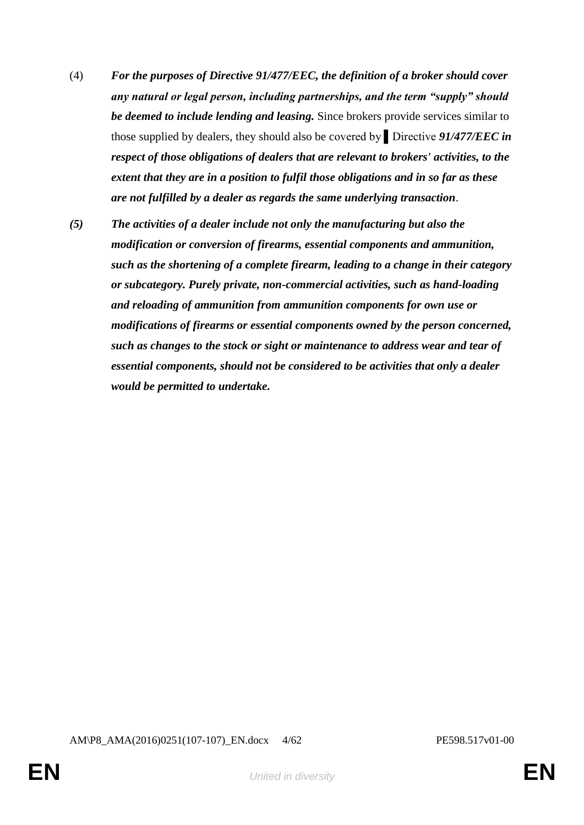- (4) *For the purposes of Directive 91/477/EEC, the definition of a broker should cover any natural or legal person, including partnerships, and the term "supply" should be deemed to include lending and leasing.* Since brokers provide services similar to those supplied by dealers, they should also be covered by ▌Directive *91/477/EEC in respect of those obligations of dealers that are relevant to brokers' activities, to the extent that they are in a position to fulfil those obligations and in so far as these are not fulfilled by a dealer as regards the same underlying transaction*.
- *(5) The activities of a dealer include not only the manufacturing but also the modification or conversion of firearms, essential components and ammunition, such as the shortening of a complete firearm, leading to a change in their category or subcategory. Purely private, non-commercial activities, such as hand-loading and reloading of ammunition from ammunition components for own use or modifications of firearms or essential components owned by the person concerned, such as changes to the stock or sight or maintenance to address wear and tear of essential components, should not be considered to be activities that only a dealer would be permitted to undertake.*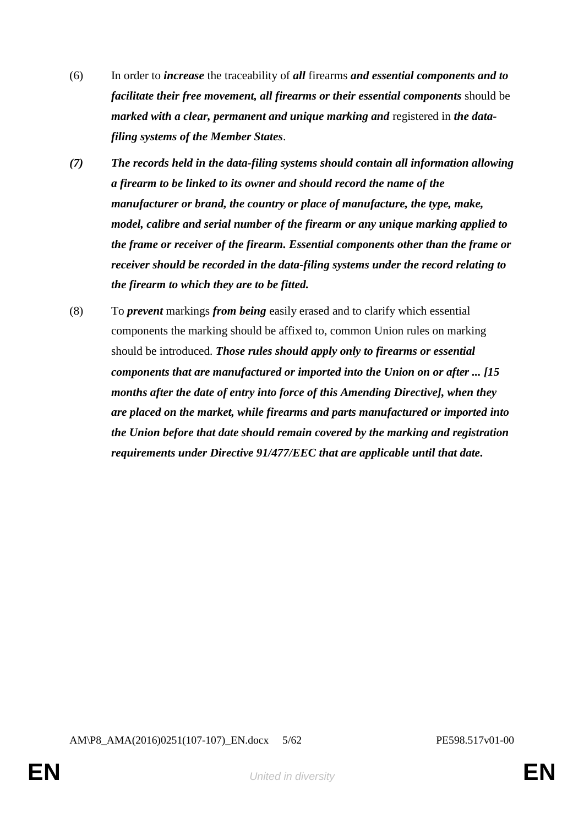- (6) In order to *increase* the traceability of *all* firearms *and essential components and to facilitate their free movement, all firearms or their essential components* should be *marked with a clear, permanent and unique marking and registered in the datafiling systems of the Member States*.
- *(7) The records held in the data-filing systems should contain all information allowing a firearm to be linked to its owner and should record the name of the manufacturer or brand, the country or place of manufacture, the type, make, model, calibre and serial number of the firearm or any unique marking applied to the frame or receiver of the firearm. Essential components other than the frame or receiver should be recorded in the data-filing systems under the record relating to the firearm to which they are to be fitted.*
- (8) To *prevent* markings *from being* easily erased and to clarify which essential components the marking should be affixed to, common Union rules on marking should be introduced. *Those rules should apply only to firearms or essential components that are manufactured or imported into the Union on or after ... [15 months after the date of entry into force of this Amending Directive], when they are placed on the market, while firearms and parts manufactured or imported into the Union before that date should remain covered by the marking and registration requirements under Directive 91/477/EEC that are applicable until that date.*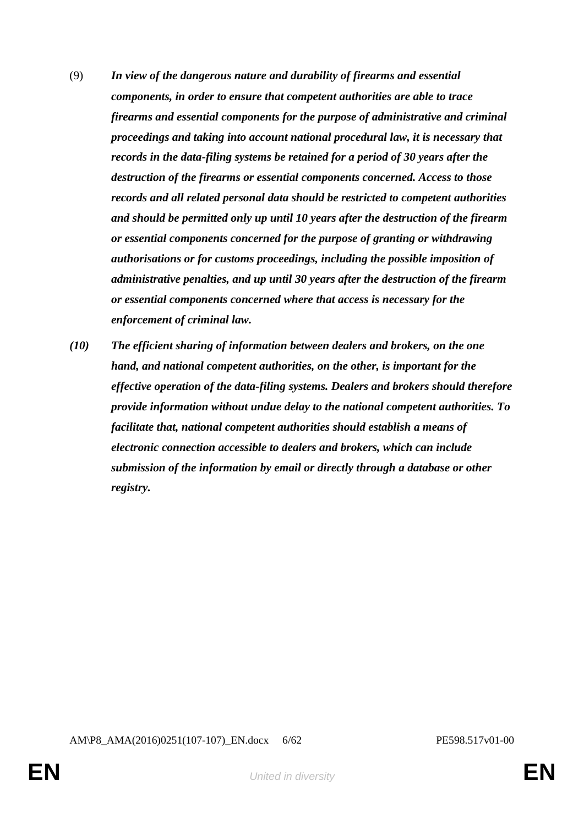- (9) *In view of the dangerous nature and durability of firearms and essential components, in order to ensure that competent authorities are able to trace firearms and essential components for the purpose of administrative and criminal proceedings and taking into account national procedural law, it is necessary that records in the data-filing systems be retained for a period of 30 years after the destruction of the firearms or essential components concerned. Access to those records and all related personal data should be restricted to competent authorities and should be permitted only up until 10 years after the destruction of the firearm or essential components concerned for the purpose of granting or withdrawing authorisations or for customs proceedings, including the possible imposition of administrative penalties, and up until 30 years after the destruction of the firearm or essential components concerned where that access is necessary for the enforcement of criminal law.*
- *(10) The efficient sharing of information between dealers and brokers, on the one hand, and national competent authorities, on the other, is important for the effective operation of the data-filing systems. Dealers and brokers should therefore provide information without undue delay to the national competent authorities. To facilitate that, national competent authorities should establish a means of electronic connection accessible to dealers and brokers, which can include submission of the information by email or directly through a database or other registry.*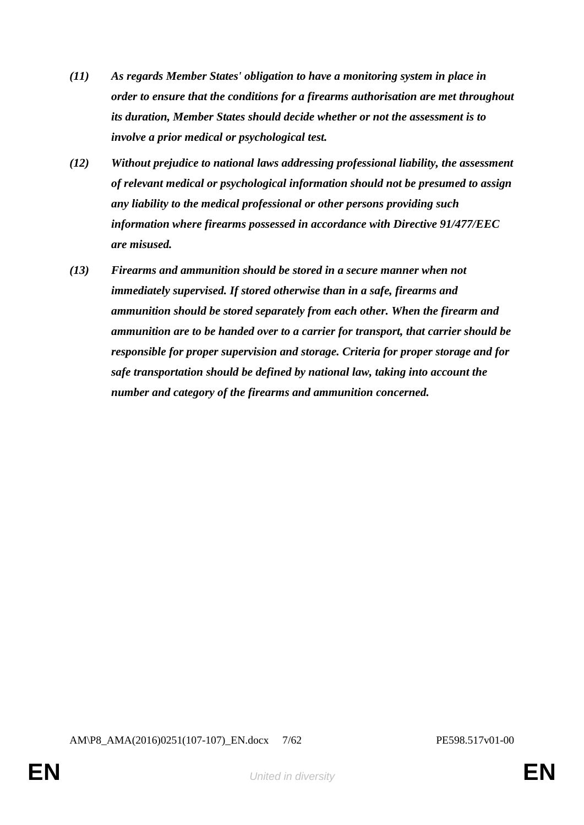- *(11) As regards Member States' obligation to have a monitoring system in place in order to ensure that the conditions for a firearms authorisation are met throughout its duration, Member States should decide whether or not the assessment is to involve a prior medical or psychological test.*
- *(12) Without prejudice to national laws addressing professional liability, the assessment of relevant medical or psychological information should not be presumed to assign any liability to the medical professional or other persons providing such information where firearms possessed in accordance with Directive 91/477/EEC are misused.*
- *(13) Firearms and ammunition should be stored in a secure manner when not immediately supervised. If stored otherwise than in a safe, firearms and ammunition should be stored separately from each other. When the firearm and ammunition are to be handed over to a carrier for transport, that carrier should be responsible for proper supervision and storage. Criteria for proper storage and for safe transportation should be defined by national law, taking into account the number and category of the firearms and ammunition concerned.*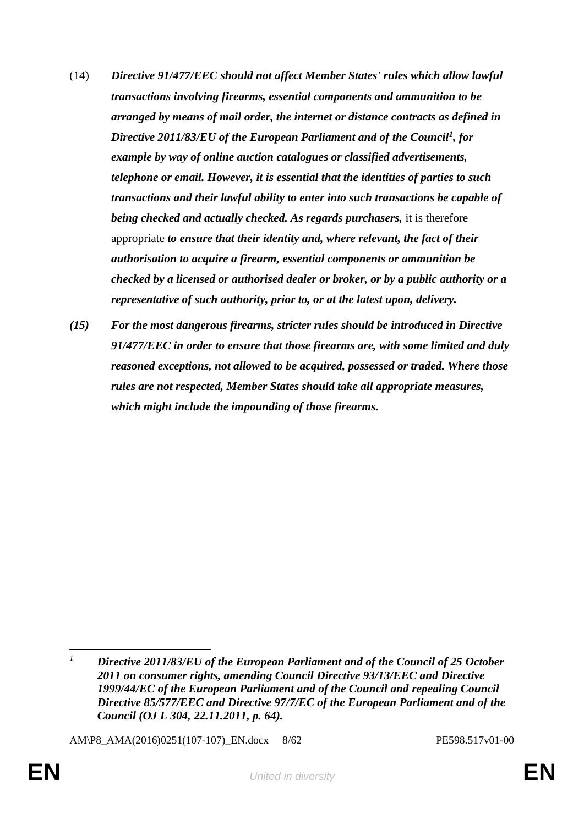- (14) *Directive 91/477/EEC should not affect Member States' rules which allow lawful transactions involving firearms, essential components and ammunition to be arranged by means of mail order, the internet or distance contracts as defined in Directive 2011/83/EU of the European Parliament and of the Council<sup>1</sup> , for example by way of online auction catalogues or classified advertisements, telephone or email. However, it is essential that the identities of parties to such transactions and their lawful ability to enter into such transactions be capable of being checked and actually checked. As regards purchasers,* it is therefore appropriate *to ensure that their identity and, where relevant, the fact of their authorisation to acquire a firearm, essential components or ammunition be checked by a licensed or authorised dealer or broker, or by a public authority or a representative of such authority, prior to, or at the latest upon, delivery.*
- *(15) For the most dangerous firearms, stricter rules should be introduced in Directive 91/477/EEC in order to ensure that those firearms are, with some limited and duly reasoned exceptions, not allowed to be acquired, possessed or traded. Where those rules are not respected, Member States should take all appropriate measures, which might include the impounding of those firearms.*

AM\P8\_AMA(2016)0251(107-107)\_EN.docx 8/62 PE598.517v01-00

 $\overline{a}$ *<sup>1</sup> Directive 2011/83/EU of the European Parliament and of the Council of 25 October 2011 on consumer rights, amending Council Directive 93/13/EEC and Directive 1999/44/EC of the European Parliament and of the Council and repealing Council Directive 85/577/EEC and Directive 97/7/EC of the European Parliament and of the Council (OJ L 304, 22.11.2011, p. 64).*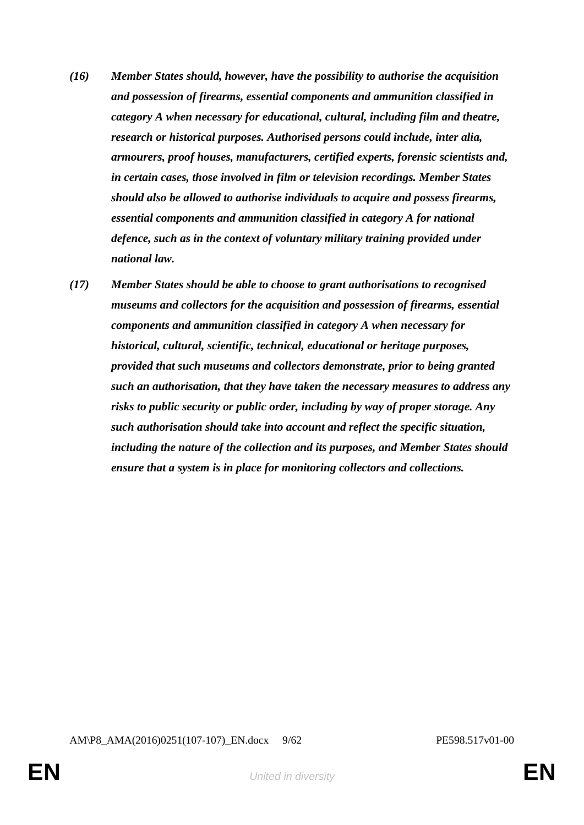- *(16) Member States should, however, have the possibility to authorise the acquisition and possession of firearms, essential components and ammunition classified in category A when necessary for educational, cultural, including film and theatre, research or historical purposes. Authorised persons could include, inter alia, armourers, proof houses, manufacturers, certified experts, forensic scientists and, in certain cases, those involved in film or television recordings. Member States should also be allowed to authorise individuals to acquire and possess firearms, essential components and ammunition classified in category A for national defence, such as in the context of voluntary military training provided under national law.*
- *(17) Member States should be able to choose to grant authorisations to recognised museums and collectors for the acquisition and possession of firearms, essential components and ammunition classified in category A when necessary for historical, cultural, scientific, technical, educational or heritage purposes, provided that such museums and collectors demonstrate, prior to being granted such an authorisation, that they have taken the necessary measures to address any risks to public security or public order, including by way of proper storage. Any such authorisation should take into account and reflect the specific situation, including the nature of the collection and its purposes, and Member States should ensure that a system is in place for monitoring collectors and collections.*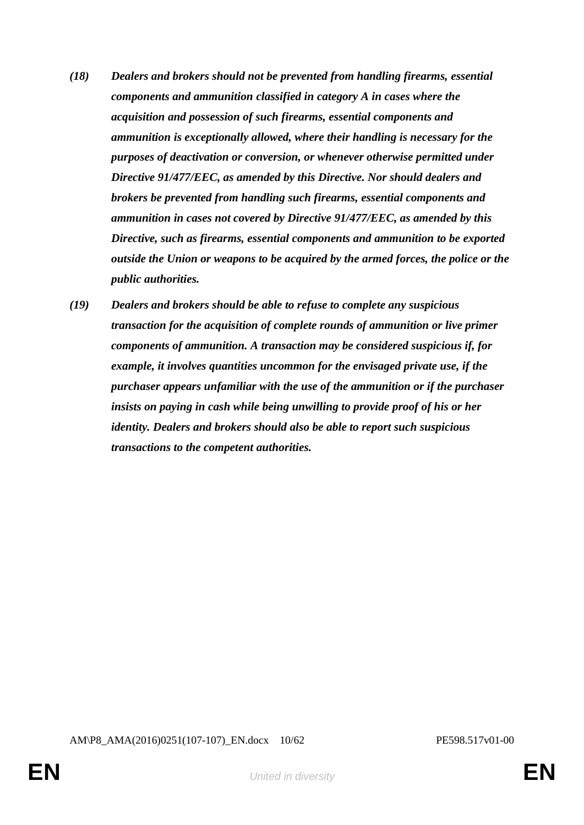- *(18) Dealers and brokers should not be prevented from handling firearms, essential components and ammunition classified in category A in cases where the acquisition and possession of such firearms, essential components and ammunition is exceptionally allowed, where their handling is necessary for the purposes of deactivation or conversion, or whenever otherwise permitted under Directive 91/477/EEC, as amended by this Directive. Nor should dealers and brokers be prevented from handling such firearms, essential components and ammunition in cases not covered by Directive 91/477/EEC, as amended by this Directive, such as firearms, essential components and ammunition to be exported outside the Union or weapons to be acquired by the armed forces, the police or the public authorities.*
- *(19) Dealers and brokers should be able to refuse to complete any suspicious transaction for the acquisition of complete rounds of ammunition or live primer components of ammunition. A transaction may be considered suspicious if, for example, it involves quantities uncommon for the envisaged private use, if the purchaser appears unfamiliar with the use of the ammunition or if the purchaser insists on paying in cash while being unwilling to provide proof of his or her identity. Dealers and brokers should also be able to report such suspicious transactions to the competent authorities.*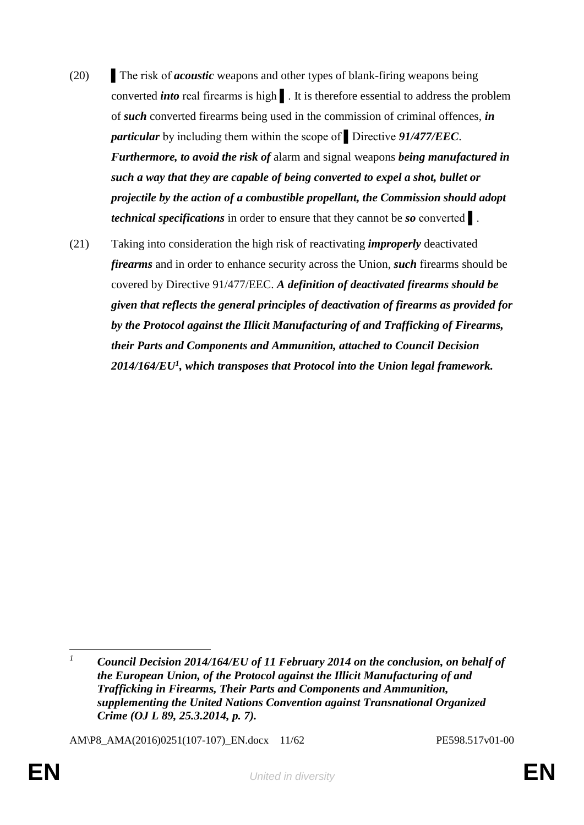- (20) The risk of *acoustic* weapons and other types of blank-firing weapons being converted *into* real firearms is high ▌. It is therefore essential to address the problem of *such* converted firearms being used in the commission of criminal offences, *in particular* by including them within the scope of ▌Directive *91/477/EEC*. *Furthermore, to avoid the risk of* alarm and signal weapons *being manufactured in such a way that they are capable of being converted to expel a shot, bullet or projectile by the action of a combustible propellant, the Commission should adopt technical specifications* in order to ensure that they cannot be *so* converted ▌.
- (21) Taking into consideration the high risk of reactivating *improperly* deactivated *firearms* and in order to enhance security across the Union, *such* firearms should be covered by Directive 91/477/EEC. *A definition of deactivated firearms should be given that reflects the general principles of deactivation of firearms as provided for by the Protocol against the Illicit Manufacturing of and Trafficking of Firearms, their Parts and Components and Ammunition, attached to Council Decision 2014/164/EU<sup>1</sup> , which transposes that Protocol into the Union legal framework.*

AM\P8\_AMA(2016)0251(107-107)\_EN.docx 11/62 PE598.517v01-00

 $\overline{1}$ *<sup>1</sup> Council Decision 2014/164/EU of 11 February 2014 on the conclusion, on behalf of the European Union, of the Protocol against the Illicit Manufacturing of and Trafficking in Firearms, Their Parts and Components and Ammunition, supplementing the United Nations Convention against Transnational Organized Crime (OJ L 89, 25.3.2014, p. 7).*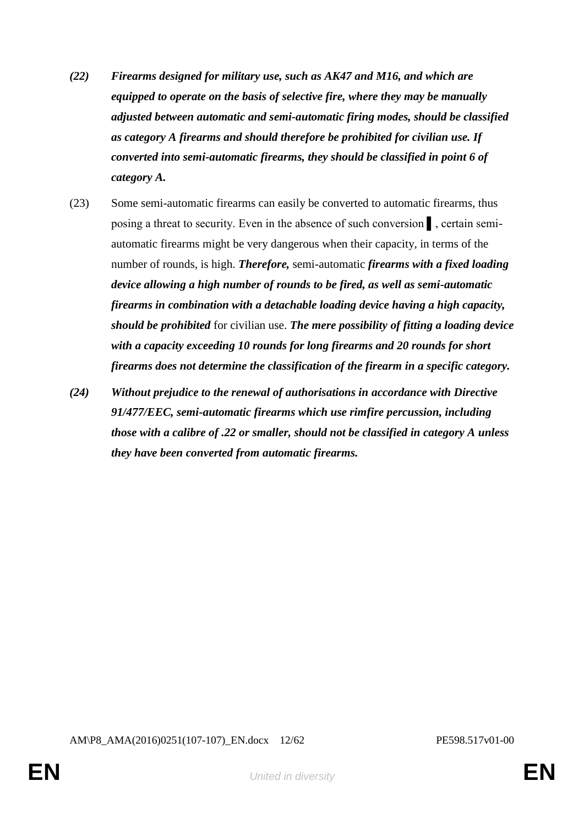- *(22) Firearms designed for military use, such as AK47 and M16, and which are equipped to operate on the basis of selective fire, where they may be manually adjusted between automatic and semi-automatic firing modes, should be classified as category A firearms and should therefore be prohibited for civilian use. If converted into semi-automatic firearms, they should be classified in point 6 of category A.*
- (23) Some semi-automatic firearms can easily be converted to automatic firearms, thus posing a threat to security. Even in the absence of such conversion ▌, certain semiautomatic firearms might be very dangerous when their capacity, in terms of the number of rounds, is high. *Therefore,* semi-automatic *firearms with a fixed loading device allowing a high number of rounds to be fired, as well as semi-automatic firearms in combination with a detachable loading device having a high capacity, should be prohibited* for civilian use. *The mere possibility of fitting a loading device with a capacity exceeding 10 rounds for long firearms and 20 rounds for short firearms does not determine the classification of the firearm in a specific category.*
- *(24) Without prejudice to the renewal of authorisations in accordance with Directive 91/477/EEC, semi-automatic firearms which use rimfire percussion, including those with a calibre of .22 or smaller, should not be classified in category A unless they have been converted from automatic firearms.*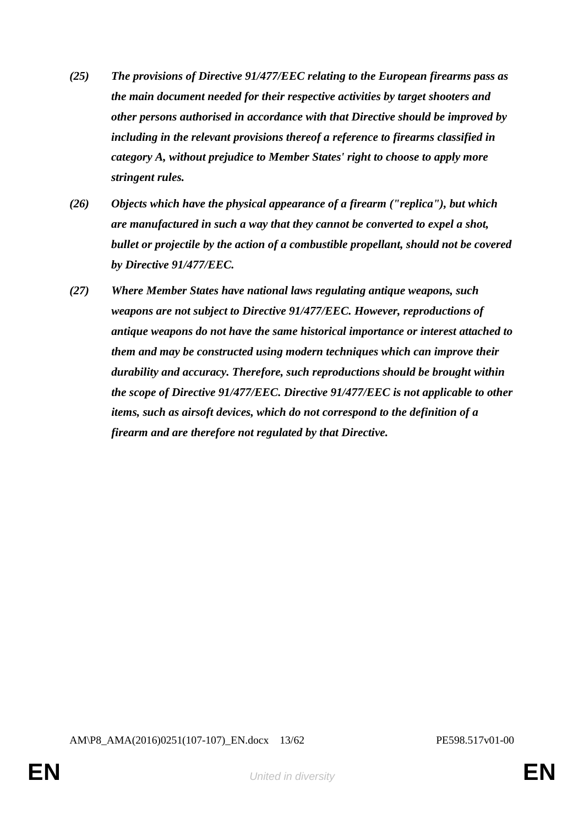- *(25) The provisions of Directive 91/477/EEC relating to the European firearms pass as the main document needed for their respective activities by target shooters and other persons authorised in accordance with that Directive should be improved by including in the relevant provisions thereof a reference to firearms classified in category A, without prejudice to Member States' right to choose to apply more stringent rules.*
- *(26) Objects which have the physical appearance of a firearm ("replica"), but which are manufactured in such a way that they cannot be converted to expel a shot, bullet or projectile by the action of a combustible propellant, should not be covered by Directive 91/477/EEC.*
- *(27) Where Member States have national laws regulating antique weapons, such weapons are not subject to Directive 91/477/EEC. However, reproductions of antique weapons do not have the same historical importance or interest attached to them and may be constructed using modern techniques which can improve their durability and accuracy. Therefore, such reproductions should be brought within the scope of Directive 91/477/EEC. Directive 91/477/EEC is not applicable to other items, such as airsoft devices, which do not correspond to the definition of a firearm and are therefore not regulated by that Directive.*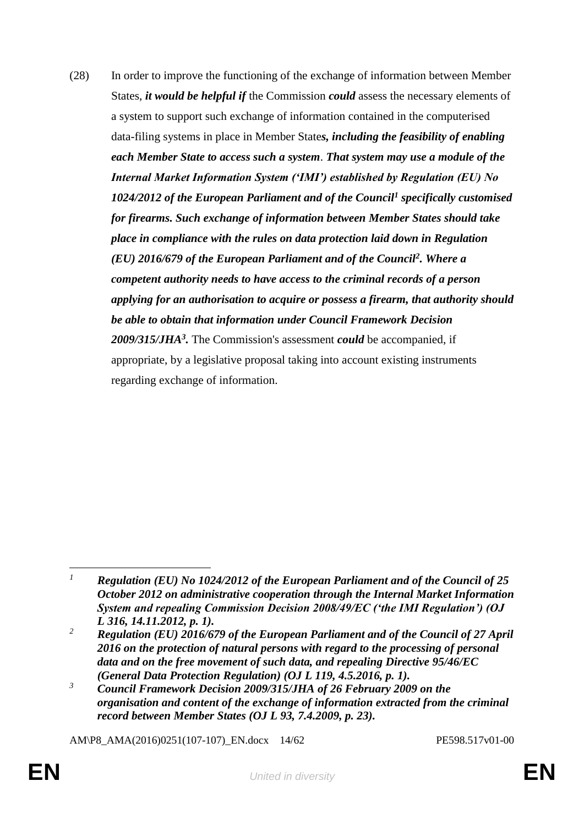(28) In order to improve the functioning of the exchange of information between Member States, *it would be helpful if* the Commission *could* assess the necessary elements of a system to support such exchange of information contained in the computerised data-filing systems in place in Member State*s, including the feasibility of enabling each Member State to access such a system*. *That system may use a module of the Internal Market Information System ('IMI') established by Regulation (EU) No 1024/2012 of the European Parliament and of the Council<sup>1</sup> specifically customised for firearms. Such exchange of information between Member States should take place in compliance with the rules on data protection laid down in Regulation (EU) 2016/679 of the European Parliament and of the Council<sup>2</sup> . Where a competent authority needs to have access to the criminal records of a person applying for an authorisation to acquire or possess a firearm, that authority should be able to obtain that information under Council Framework Decision 2009/315/JHA<sup>3</sup> .* The Commission's assessment *could* be accompanied, if appropriate, by a legislative proposal taking into account existing instruments regarding exchange of information.

AM\P8\_AMA(2016)0251(107-107)\_EN.docx 14/62 PE598.517v01-00

 $\overline{a}$ 

*<sup>1</sup> Regulation (EU) No 1024/2012 of the European Parliament and of the Council of 25 October 2012 on administrative cooperation through the Internal Market Information System and repealing Commission Decision 2008/49/EC ('the IMI Regulation') (OJ L 316, 14.11.2012, p. 1).*

*<sup>2</sup> Regulation (EU) 2016/679 of the European Parliament and of the Council of 27 April 2016 on the protection of natural persons with regard to the processing of personal data and on the free movement of such data, and repealing Directive 95/46/EC (General Data Protection Regulation) (OJ L 119, 4.5.2016, p. 1).*

*<sup>3</sup> Council Framework Decision 2009/315/JHA of 26 February 2009 on the organisation and content of the exchange of information extracted from the criminal record between Member States (OJ L 93, 7.4.2009, p. 23).*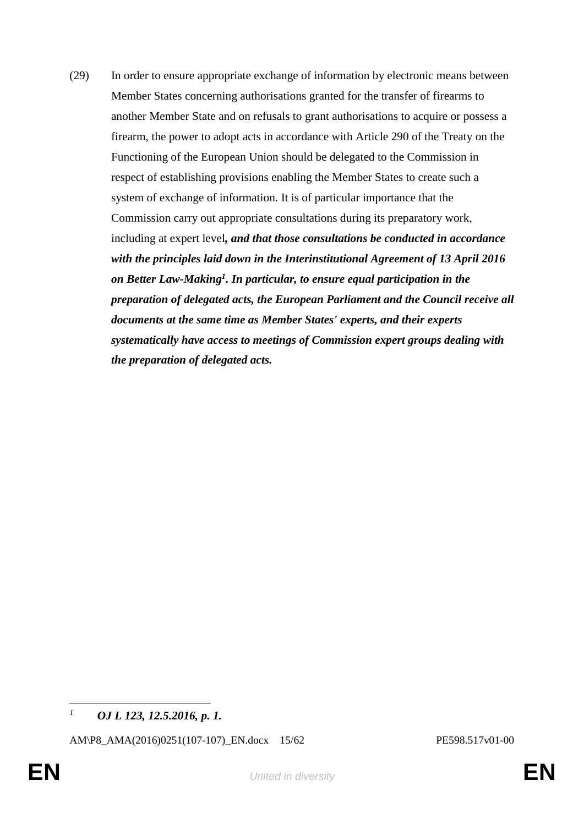(29) In order to ensure appropriate exchange of information by electronic means between Member States concerning authorisations granted for the transfer of firearms to another Member State and on refusals to grant authorisations to acquire or possess a firearm, the power to adopt acts in accordance with Article 290 of the Treaty on the Functioning of the European Union should be delegated to the Commission in respect of establishing provisions enabling the Member States to create such a system of exchange of information. It is of particular importance that the Commission carry out appropriate consultations during its preparatory work, including at expert level*, and that those consultations be conducted in accordance with the principles laid down in the Interinstitutional Agreement of 13 April 2016 on Better Law-Making<sup>1</sup> . In particular, to ensure equal participation in the preparation of delegated acts, the European Parliament and the Council receive all documents at the same time as Member States' experts, and their experts systematically have access to meetings of Commission expert groups dealing with the preparation of delegated acts.*

 $\overline{1}$ *<sup>1</sup> OJ L 123, 12.5.2016, p. 1.*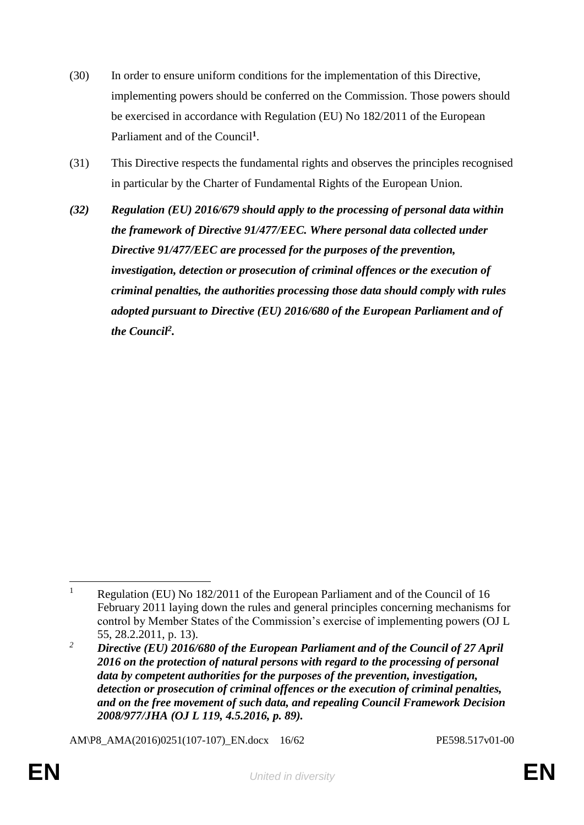- (30) In order to ensure uniform conditions for the implementation of this Directive, implementing powers should be conferred on the Commission. Those powers should be exercised in accordance with Regulation (EU) No 182/2011 of the European Parliament and of the Council**<sup>1</sup>** .
- (31) This Directive respects the fundamental rights and observes the principles recognised in particular by the Charter of Fundamental Rights of the European Union.
- *(32) Regulation (EU) 2016/679 should apply to the processing of personal data within the framework of Directive 91/477/EEC. Where personal data collected under Directive 91/477/EEC are processed for the purposes of the prevention, investigation, detection or prosecution of criminal offences or the execution of criminal penalties, the authorities processing those data should comply with rules adopted pursuant to Directive (EU) 2016/680 of the European Parliament and of the Council<sup>2</sup> .*

AM\P8\_AMA(2016)0251(107-107)\_EN.docx 16/62 PE598.517v01-00

 $\overline{a}$ <sup>1</sup> Regulation (EU) No 182/2011 of the European Parliament and of the Council of 16 February 2011 laying down the rules and general principles concerning mechanisms for control by Member States of the Commission's exercise of implementing powers (OJ L 55, 28.2.2011, p. 13).

*<sup>2</sup> Directive (EU) 2016/680 of the European Parliament and of the Council of 27 April 2016 on the protection of natural persons with regard to the processing of personal data by competent authorities for the purposes of the prevention, investigation, detection or prosecution of criminal offences or the execution of criminal penalties, and on the free movement of such data, and repealing Council Framework Decision 2008/977/JHA (OJ L 119, 4.5.2016, p. 89).*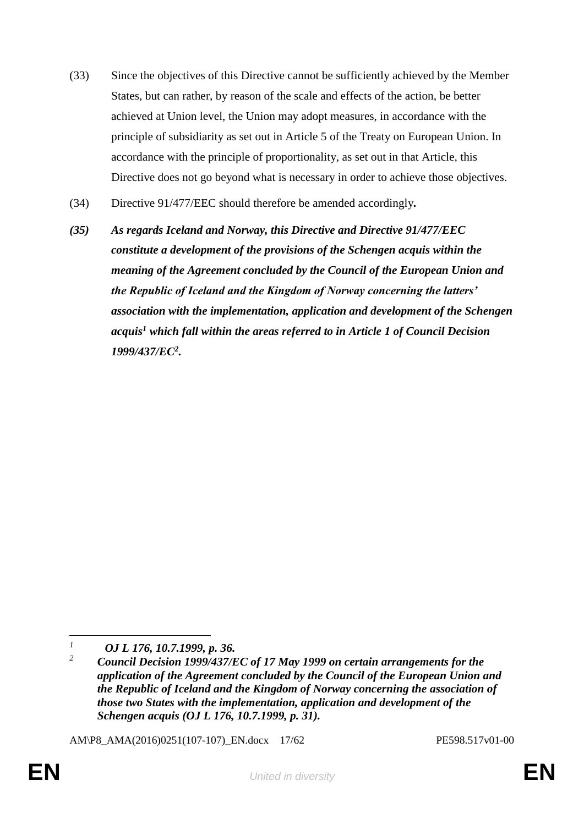- (33) Since the objectives of this Directive cannot be sufficiently achieved by the Member States, but can rather, by reason of the scale and effects of the action, be better achieved at Union level, the Union may adopt measures, in accordance with the principle of subsidiarity as set out in Article 5 of the Treaty on European Union. In accordance with the principle of proportionality, as set out in that Article, this Directive does not go beyond what is necessary in order to achieve those objectives.
- (34) Directive 91/477/EEC should therefore be amended accordingly*.*
- *(35) As regards Iceland and Norway, this Directive and Directive 91/477/EEC constitute a development of the provisions of the Schengen acquis within the meaning of the Agreement concluded by the Council of the European Union and the Republic of Iceland and the Kingdom of Norway concerning the latters' association with the implementation, application and development of the Schengen acquis<sup>1</sup> which fall within the areas referred to in Article 1 of Council Decision 1999/437/EC<sup>2</sup> .*

AM\P8\_AMA(2016)0251(107-107)\_EN.docx 17/62 PE598.517v01-00

 $\overline{a}$ *<sup>1</sup> OJ L 176, 10.7.1999, p. 36.*

*<sup>2</sup> Council Decision 1999/437/EC of 17 May 1999 on certain arrangements for the application of the Agreement concluded by the Council of the European Union and the Republic of Iceland and the Kingdom of Norway concerning the association of those two States with the implementation, application and development of the Schengen acquis (OJ L 176, 10.7.1999, p. 31).*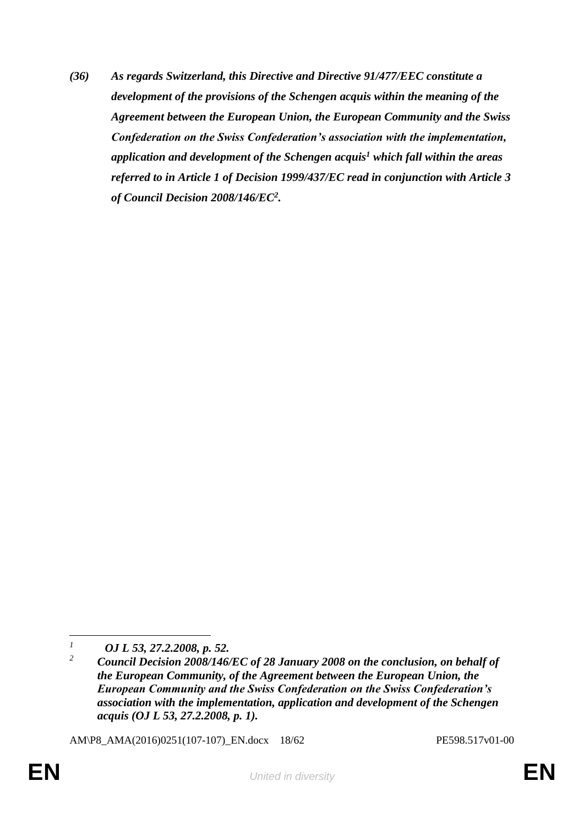*(36) As regards Switzerland, this Directive and Directive 91/477/EEC constitute a development of the provisions of the Schengen acquis within the meaning of the Agreement between the European Union, the European Community and the Swiss Confederation on the Swiss Confederation's association with the implementation, application and development of the Schengen acquis<sup>1</sup> which fall within the areas referred to in Article 1 of Decision 1999/437/EC read in conjunction with Article 3 of Council Decision 2008/146/EC<sup>2</sup> .*

AM\P8\_AMA(2016)0251(107-107)\_EN.docx 18/62 PE598.517v01-00

 $\mathcal{I}$ *<sup>1</sup> OJ L 53, 27.2.2008, p. 52.*

*<sup>2</sup> Council Decision 2008/146/EC of 28 January 2008 on the conclusion, on behalf of the European Community, of the Agreement between the European Union, the European Community and the Swiss Confederation on the Swiss Confederation's association with the implementation, application and development of the Schengen acquis (OJ L 53, 27.2.2008, p. 1).*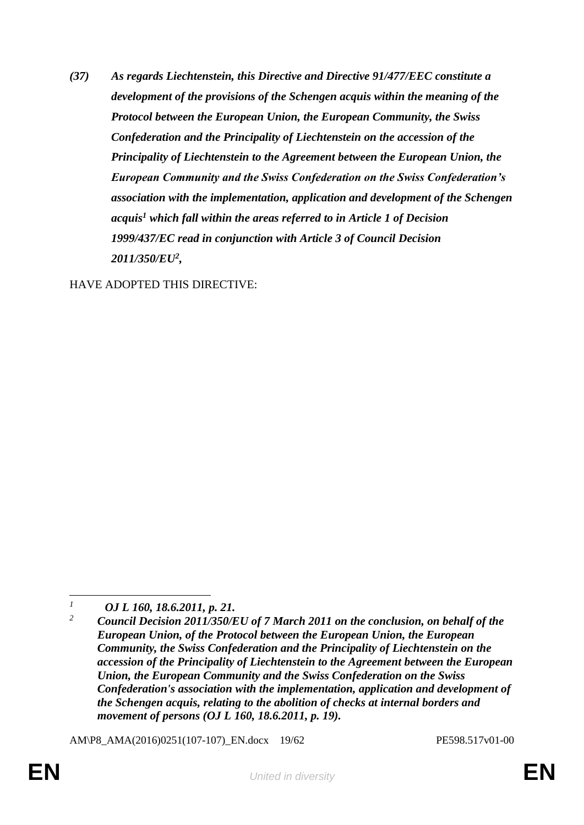*(37) As regards Liechtenstein, this Directive and Directive 91/477/EEC constitute a development of the provisions of the Schengen acquis within the meaning of the Protocol between the European Union, the European Community, the Swiss Confederation and the Principality of Liechtenstein on the accession of the Principality of Liechtenstein to the Agreement between the European Union, the European Community and the Swiss Confederation on the Swiss Confederation's association with the implementation, application and development of the Schengen acquis<sup>1</sup> which fall within the areas referred to in Article 1 of Decision 1999/437/EC read in conjunction with Article 3 of Council Decision 2011/350/EU<sup>2</sup> ,*

HAVE ADOPTED THIS DIRECTIVE:

AM\P8\_AMA(2016)0251(107-107)\_EN.docx 19/62 PE598.517v01-00

 $\mathcal{I}$ *<sup>1</sup> OJ L 160, 18.6.2011, p. 21.*

*<sup>2</sup> Council Decision 2011/350/EU of 7 March 2011 on the conclusion, on behalf of the European Union, of the Protocol between the European Union, the European Community, the Swiss Confederation and the Principality of Liechtenstein on the accession of the Principality of Liechtenstein to the Agreement between the European Union, the European Community and the Swiss Confederation on the Swiss Confederation's association with the implementation, application and development of the Schengen acquis, relating to the abolition of checks at internal borders and movement of persons (OJ L 160, 18.6.2011, p. 19).*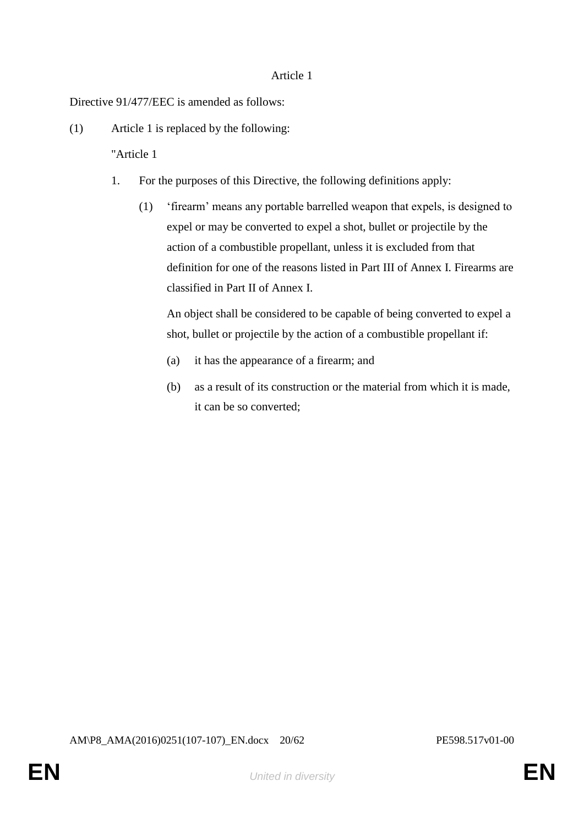## Article 1

Directive 91/477/EEC is amended as follows:

(1) Article 1 is replaced by the following:

"Article 1

- 1. For the purposes of this Directive, the following definitions apply:
	- (1) 'firearm' means any portable barrelled weapon that expels, is designed to expel or may be converted to expel a shot, bullet or projectile by the action of a combustible propellant, unless it is excluded from that definition for one of the reasons listed in Part III of Annex I. Firearms are classified in Part II of Annex I.

An object shall be considered to be capable of being converted to expel a shot, bullet or projectile by the action of a combustible propellant if:

- (a) it has the appearance of a firearm; and
- (b) as a result of its construction or the material from which it is made, it can be so converted;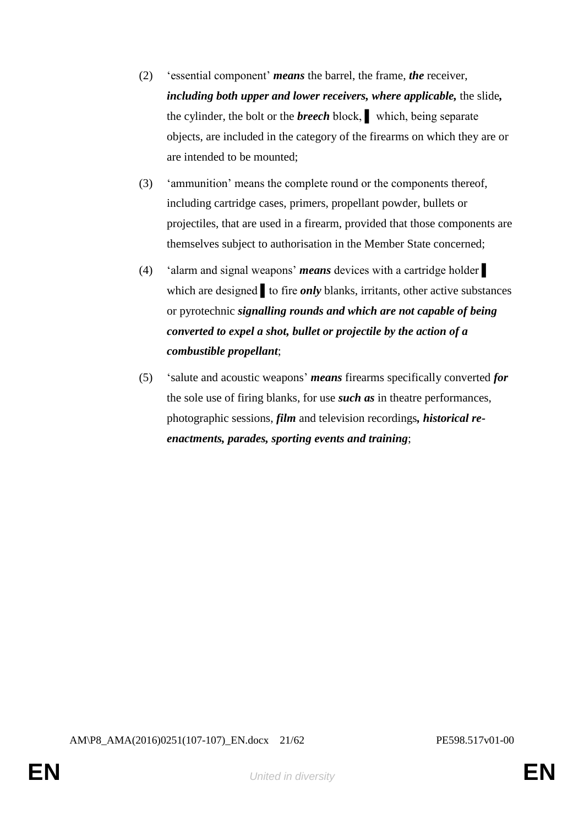- (2) 'essential component' *means* the barrel, the frame, *the* receiver, *including both upper and lower receivers, where applicable,* the slide*,* the cylinder, the bolt or the *breech* block, ▌ which, being separate objects, are included in the category of the firearms on which they are or are intended to be mounted;
- (3) 'ammunition' means the complete round or the components thereof, including cartridge cases, primers, propellant powder, bullets or projectiles, that are used in a firearm, provided that those components are themselves subject to authorisation in the Member State concerned;
- (4) 'alarm and signal weapons' *means* devices with a cartridge holder ▌ which are designed to fire *only* blanks, irritants, other active substances or pyrotechnic *signalling rounds and which are not capable of being converted to expel a shot, bullet or projectile by the action of a combustible propellant*;
- (5) 'salute and acoustic weapons' *means* firearms specifically converted *for*  the sole use of firing blanks, for use *such as* in theatre performances, photographic sessions, *film* and television recordings*, historical reenactments, parades, sporting events and training*;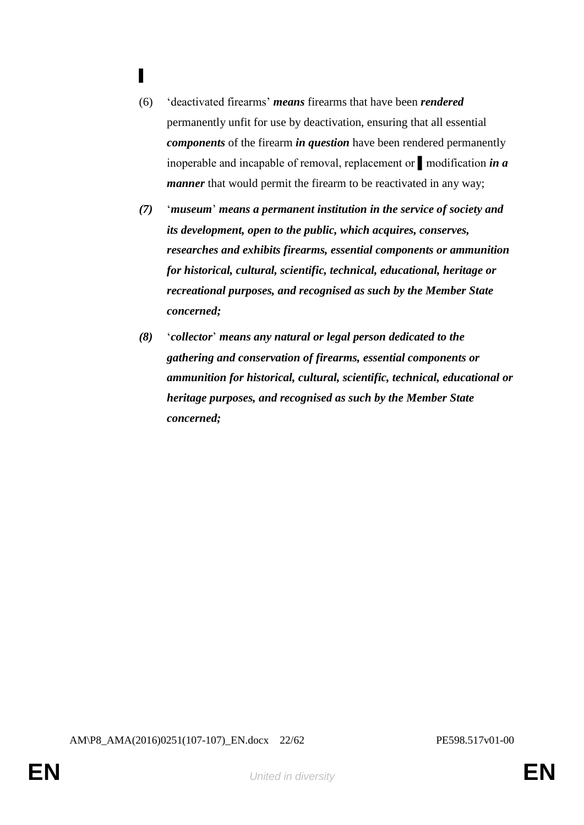- ▌
- (6) 'deactivated firearms' *means* firearms that have been *rendered* permanently unfit for use by deactivation, ensuring that all essential *components* of the firearm *in question* have been rendered permanently inoperable and incapable of removal, replacement or ▌modification *in a manner* that would permit the firearm to be reactivated in any way;
- *(7)* '*museum*' *means a permanent institution in the service of society and its development, open to the public, which acquires, conserves, researches and exhibits firearms, essential components or ammunition for historical, cultural, scientific, technical, educational, heritage or recreational purposes, and recognised as such by the Member State concerned;*
- *(8)* '*collector*' *means any natural or legal person dedicated to the gathering and conservation of firearms, essential components or ammunition for historical, cultural, scientific, technical, educational or heritage purposes, and recognised as such by the Member State concerned;*

AM\P8\_AMA(2016)0251(107-107)\_EN.docx 22/62 PE598.517v01-00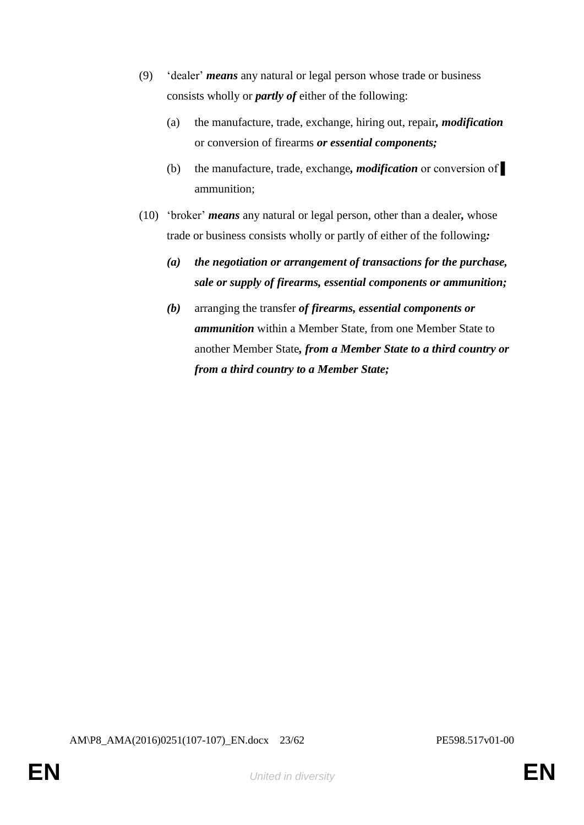- (9) 'dealer' *means* any natural or legal person whose trade or business consists wholly or *partly of* either of the following:
	- (a) the manufacture, trade, exchange, hiring out, repair*, modification*  or conversion of firearms *or essential components;*
	- (b) the manufacture, trade, exchange*, modification* or conversion of ▌ ammunition;
- (10) 'broker' *means* any natural or legal person, other than a dealer*,* whose trade or business consists wholly or partly of either of the following*:*
	- *(a) the negotiation or arrangement of transactions for the purchase, sale or supply of firearms, essential components or ammunition;*
	- *(b)* arranging the transfer *of firearms, essential components or ammunition* within a Member State, from one Member State to another Member State*, from a Member State to a third country or from a third country to a Member State;*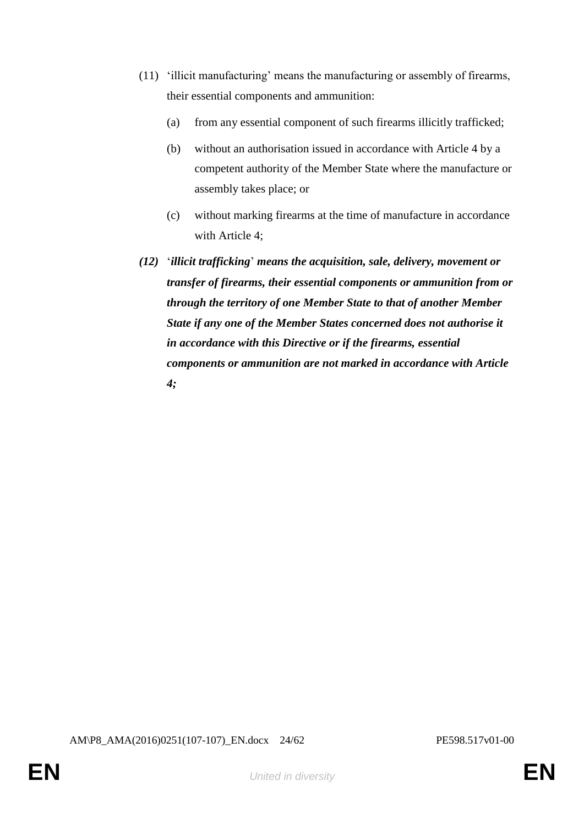- (11) 'illicit manufacturing' means the manufacturing or assembly of firearms, their essential components and ammunition:
	- (a) from any essential component of such firearms illicitly trafficked;
	- (b) without an authorisation issued in accordance with Article 4 by a competent authority of the Member State where the manufacture or assembly takes place; or
	- (c) without marking firearms at the time of manufacture in accordance with Article 4;
- *(12)* '*illicit trafficking*' *means the acquisition, sale, delivery, movement or transfer of firearms, their essential components or ammunition from or through the territory of one Member State to that of another Member State if any one of the Member States concerned does not authorise it in accordance with this Directive or if the firearms, essential components or ammunition are not marked in accordance with Article 4;*

AM\P8\_AMA(2016)0251(107-107)\_EN.docx 24/62 PE598.517v01-00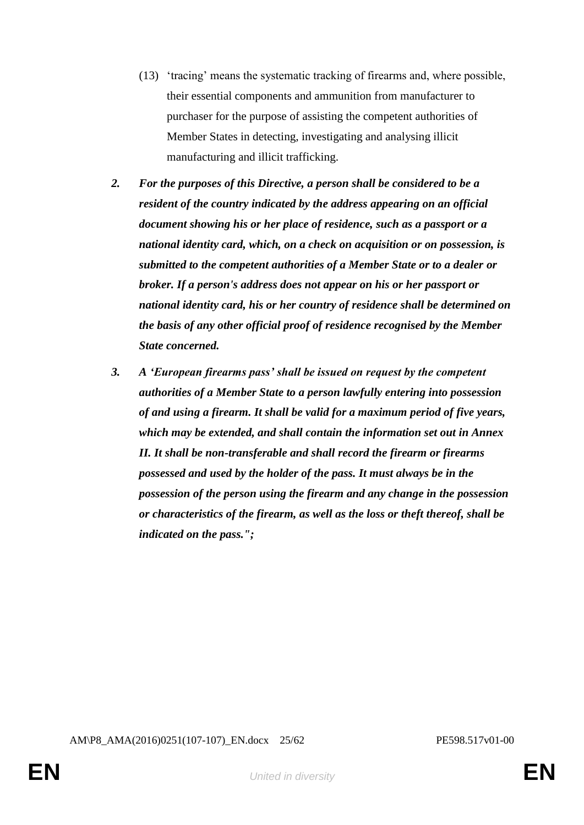- (13) 'tracing' means the systematic tracking of firearms and, where possible, their essential components and ammunition from manufacturer to purchaser for the purpose of assisting the competent authorities of Member States in detecting, investigating and analysing illicit manufacturing and illicit trafficking.
- *2. For the purposes of this Directive, a person shall be considered to be a resident of the country indicated by the address appearing on an official document showing his or her place of residence, such as a passport or a national identity card, which, on a check on acquisition or on possession, is submitted to the competent authorities of a Member State or to a dealer or broker. If a person's address does not appear on his or her passport or national identity card, his or her country of residence shall be determined on the basis of any other official proof of residence recognised by the Member State concerned.*
- *3. A 'European firearms pass' shall be issued on request by the competent authorities of a Member State to a person lawfully entering into possession of and using a firearm. It shall be valid for a maximum period of five years, which may be extended, and shall contain the information set out in Annex II. It shall be non-transferable and shall record the firearm or firearms possessed and used by the holder of the pass. It must always be in the possession of the person using the firearm and any change in the possession or characteristics of the firearm, as well as the loss or theft thereof, shall be indicated on the pass.";*

AM\P8\_AMA(2016)0251(107-107)\_EN.docx 25/62 PE598.517v01-00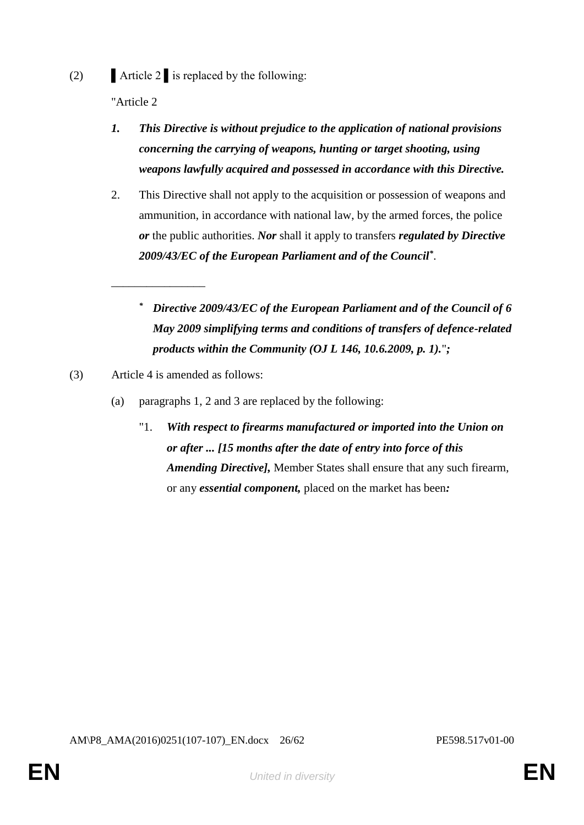(2)  $\blacksquare$  Article 2  $\blacksquare$  is replaced by the following:

"Article 2

- *1. This Directive is without prejudice to the application of national provisions concerning the carrying of weapons, hunting or target shooting, using weapons lawfully acquired and possessed in accordance with this Directive.*
- 2. This Directive shall not apply to the acquisition or possession of weapons and ammunition, in accordance with national law, by the armed forces, the police *or* the public authorities. *Nor* shall it apply to transfers *regulated by Directive 2009/43/EC of the European Parliament and of the Council\** .
	- *\* Directive 2009/43/EC of the European Parliament and of the Council of 6 May 2009 simplifying terms and conditions of transfers of defence-related products within the Community (OJ L 146, 10.6.2009, p. 1).*"*;*

(3) Article 4 is amended as follows:

\_\_\_\_\_\_\_\_\_\_\_\_\_\_\_\_

- (a) paragraphs 1, 2 and 3 are replaced by the following:
	- "1. *With respect to firearms manufactured or imported into the Union on or after ... [15 months after the date of entry into force of this Amending Directive],* Member States shall ensure that any such firearm, or any *essential component,* placed on the market has been*:*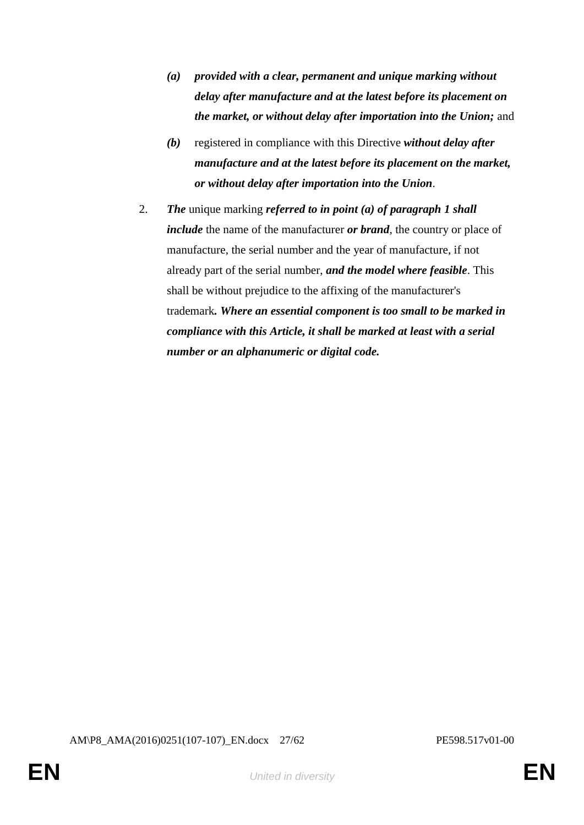- *(a) provided with a clear, permanent and unique marking without delay after manufacture and at the latest before its placement on the market, or without delay after importation into the Union;* and
- *(b)* registered in compliance with this Directive *without delay after manufacture and at the latest before its placement on the market, or without delay after importation into the Union*.
- 2. *The* unique marking *referred to in point (a) of paragraph 1 shall include* the name of the manufacturer *or brand*, the country or place of manufacture, the serial number and the year of manufacture, if not already part of the serial number, *and the model where feasible*. This shall be without prejudice to the affixing of the manufacturer's trademark*. Where an essential component is too small to be marked in compliance with this Article, it shall be marked at least with a serial number or an alphanumeric or digital code.*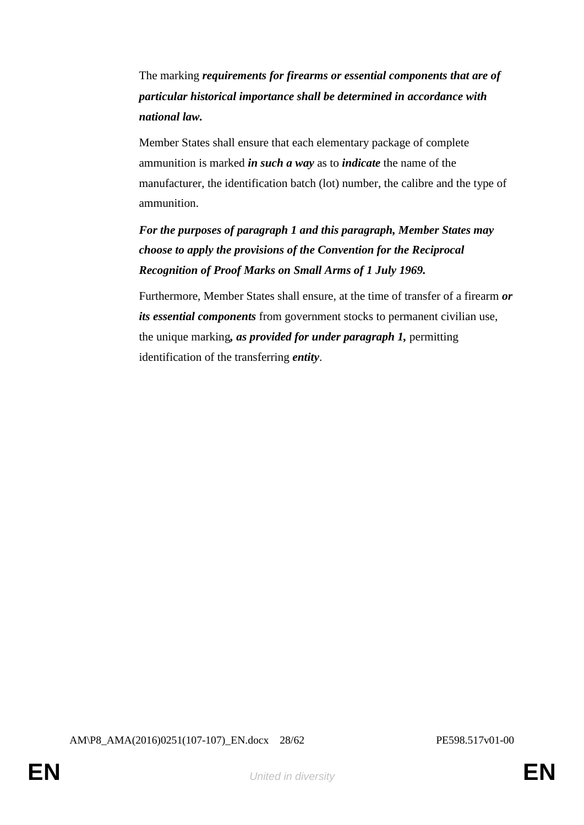The marking *requirements for firearms or essential components that are of particular historical importance shall be determined in accordance with national law.*

Member States shall ensure that each elementary package of complete ammunition is marked *in such a way* as to *indicate* the name of the manufacturer, the identification batch (lot) number, the calibre and the type of ammunition.

*For the purposes of paragraph 1 and this paragraph, Member States may choose to apply the provisions of the Convention for the Reciprocal Recognition of Proof Marks on Small Arms of 1 July 1969.*

Furthermore, Member States shall ensure, at the time of transfer of a firearm *or its essential components* from government stocks to permanent civilian use, the unique marking*, as provided for under paragraph 1,* permitting identification of the transferring *entity*.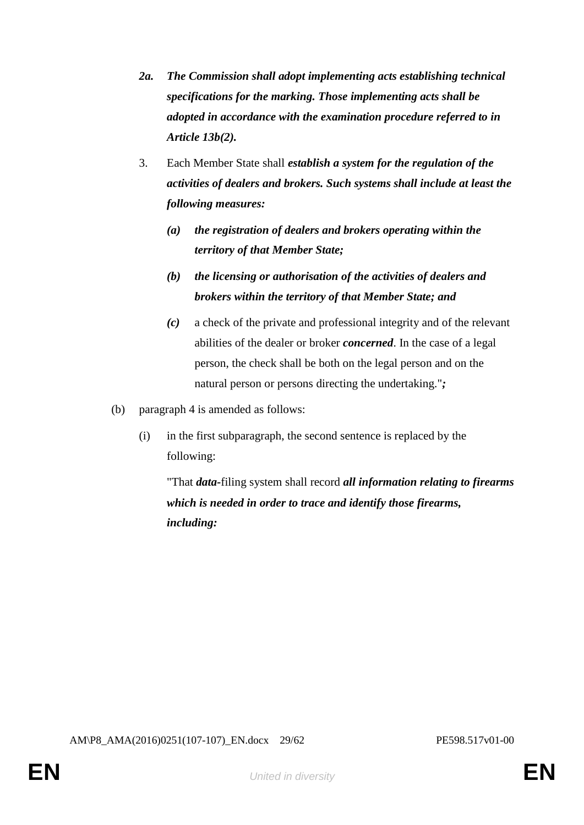- *2a. The Commission shall adopt implementing acts establishing technical specifications for the marking. Those implementing acts shall be adopted in accordance with the examination procedure referred to in Article 13b(2).*
- 3. Each Member State shall *establish a system for the regulation of the activities of dealers and brokers. Such systems shall include at least the following measures:*
	- *(a) the registration of dealers and brokers operating within the territory of that Member State;*
	- *(b) the licensing or authorisation of the activities of dealers and brokers within the territory of that Member State; and*
	- *(c)* a check of the private and professional integrity and of the relevant abilities of the dealer or broker *concerned*. In the case of a legal person, the check shall be both on the legal person and on the natural person or persons directing the undertaking."*;*
- (b) paragraph 4 is amended as follows:
	- (i) in the first subparagraph, the second sentence is replaced by the following:

"That *data-*filing system shall record *all information relating to firearms which is needed in order to trace and identify those firearms, including:*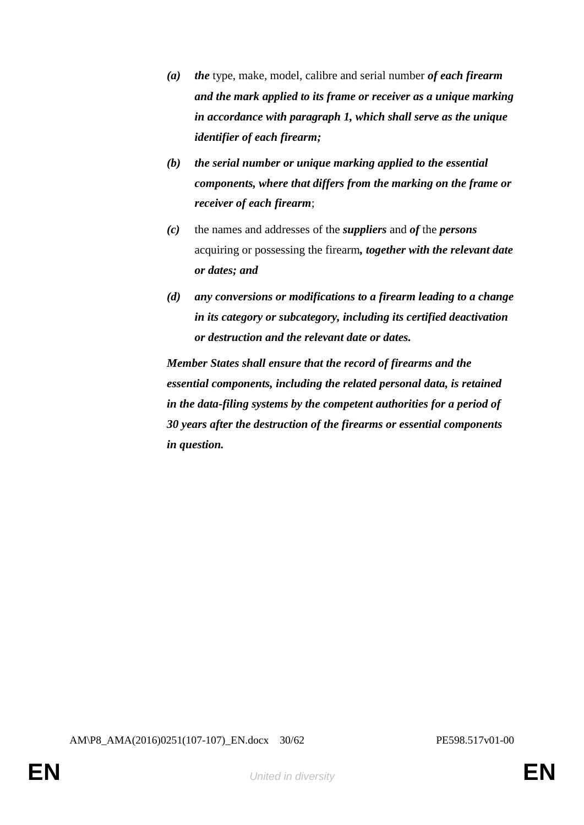- *(a) the* type, make, model, calibre and serial number *of each firearm and the mark applied to its frame or receiver as a unique marking in accordance with paragraph 1, which shall serve as the unique identifier of each firearm;*
- *(b) the serial number or unique marking applied to the essential components, where that differs from the marking on the frame or receiver of each firearm*;
- *(c)* the names and addresses of the *suppliers* and *of* the *persons* acquiring or possessing the firearm*, together with the relevant date or dates; and*
- *(d) any conversions or modifications to a firearm leading to a change in its category or subcategory, including its certified deactivation or destruction and the relevant date or dates.*

*Member States shall ensure that the record of firearms and the essential components, including the related personal data, is retained in the data-filing systems by the competent authorities for a period of 30 years after the destruction of the firearms or essential components in question.*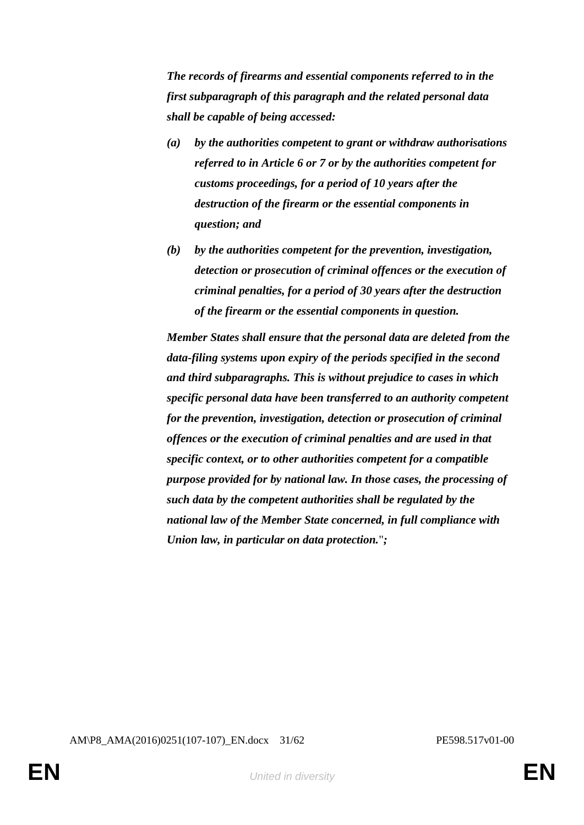*The records of firearms and essential components referred to in the first subparagraph of this paragraph and the related personal data shall be capable of being accessed:* 

- *(a) by the authorities competent to grant or withdraw authorisations referred to in Article 6 or 7 or by the authorities competent for customs proceedings, for a period of 10 years after the destruction of the firearm or the essential components in question; and*
- *(b) by the authorities competent for the prevention, investigation, detection or prosecution of criminal offences or the execution of criminal penalties, for a period of 30 years after the destruction of the firearm or the essential components in question.*

*Member States shall ensure that the personal data are deleted from the data-filing systems upon expiry of the periods specified in the second and third subparagraphs. This is without prejudice to cases in which specific personal data have been transferred to an authority competent for the prevention, investigation, detection or prosecution of criminal offences or the execution of criminal penalties and are used in that specific context, or to other authorities competent for a compatible purpose provided for by national law. In those cases, the processing of such data by the competent authorities shall be regulated by the national law of the Member State concerned, in full compliance with Union law, in particular on data protection.*"*;*

AM\P8\_AMA(2016)0251(107-107)\_EN.docx 31/62 PE598.517v01-00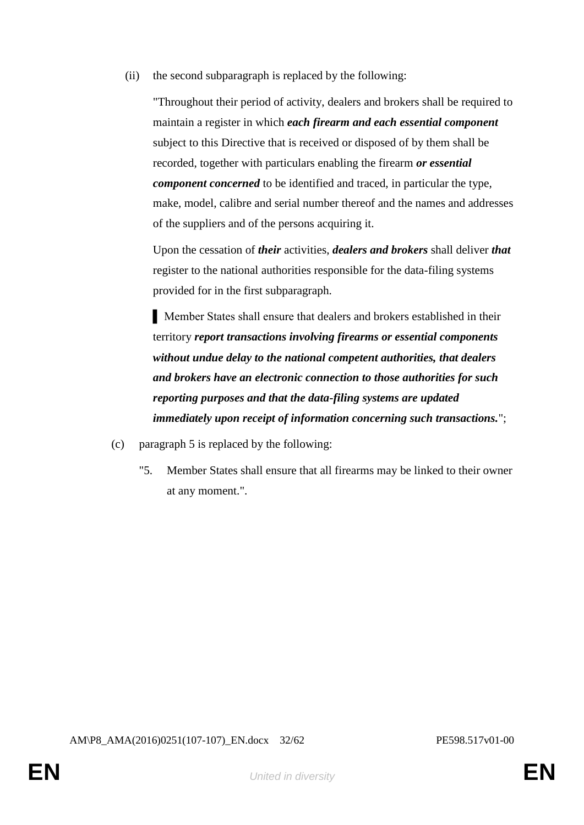(ii) the second subparagraph is replaced by the following:

"Throughout their period of activity, dealers and brokers shall be required to maintain a register in which *each firearm and each essential component*  subject to this Directive that is received or disposed of by them shall be recorded, together with particulars enabling the firearm *or essential component concerned* to be identified and traced, in particular the type, make, model, calibre and serial number thereof and the names and addresses of the suppliers and of the persons acquiring it.

Upon the cessation of *their* activities, *dealers and brokers* shall deliver *that* register to the national authorities responsible for the data-filing systems provided for in the first subparagraph.

▌ Member States shall ensure that dealers and brokers established in their territory *report transactions involving firearms or essential components without undue delay to the national competent authorities, that dealers and brokers have an electronic connection to those authorities for such reporting purposes and that the data-filing systems are updated immediately upon receipt of information concerning such transactions.*";

- (c) paragraph 5 is replaced by the following:
	- "5. Member States shall ensure that all firearms may be linked to their owner at any moment.".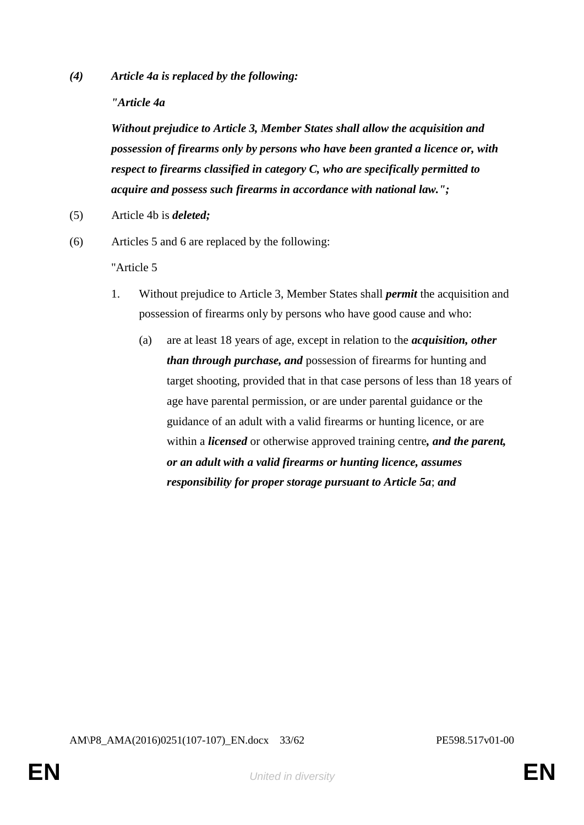*(4) Article 4a is replaced by the following:*

*"Article 4a*

*Without prejudice to Article 3, Member States shall allow the acquisition and possession of firearms only by persons who have been granted a licence or, with respect to firearms classified in category C, who are specifically permitted to acquire and possess such firearms in accordance with national law.";*

- (5) Article 4b is *deleted;*
- (6) Articles 5 and 6 are replaced by the following:

"Article 5

- 1. Without prejudice to Article 3, Member States shall *permit* the acquisition and possession of firearms only by persons who have good cause and who:
	- (a) are at least 18 years of age, except in relation to the *acquisition, other than through purchase, and* possession of firearms for hunting and target shooting, provided that in that case persons of less than 18 years of age have parental permission, or are under parental guidance or the guidance of an adult with a valid firearms or hunting licence, or are within a *licensed* or otherwise approved training centre*, and the parent, or an adult with a valid firearms or hunting licence, assumes responsibility for proper storage pursuant to Article 5a*; *and*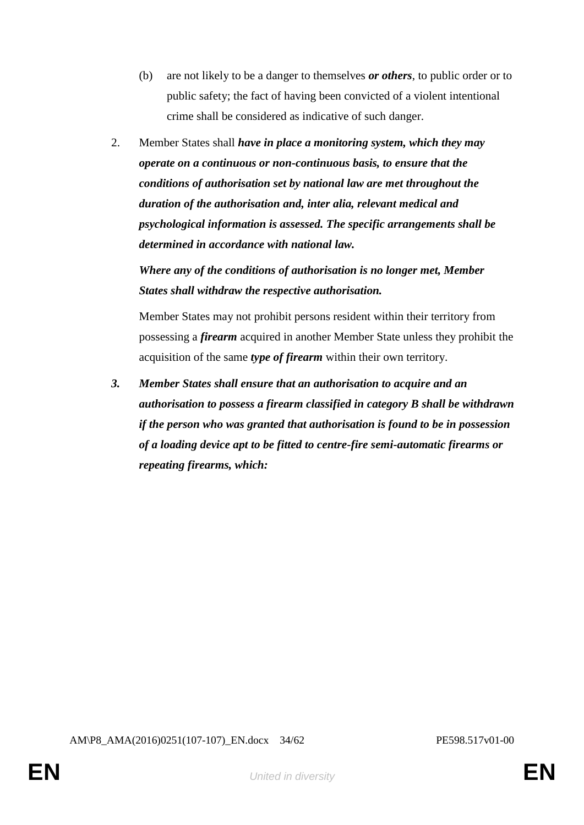- (b) are not likely to be a danger to themselves *or others*, to public order or to public safety; the fact of having been convicted of a violent intentional crime shall be considered as indicative of such danger.
- 2. Member States shall *have in place a monitoring system, which they may operate on a continuous or non-continuous basis, to ensure that the conditions of authorisation set by national law are met throughout the duration of the authorisation and, inter alia, relevant medical and psychological information is assessed. The specific arrangements shall be determined in accordance with national law.*

*Where any of the conditions of authorisation is no longer met, Member States shall withdraw the respective authorisation.* 

Member States may not prohibit persons resident within their territory from possessing a *firearm* acquired in another Member State unless they prohibit the acquisition of the same *type of firearm* within their own territory.

*3. Member States shall ensure that an authorisation to acquire and an authorisation to possess a firearm classified in category B shall be withdrawn if the person who was granted that authorisation is found to be in possession of a loading device apt to be fitted to centre-fire semi-automatic firearms or repeating firearms, which:*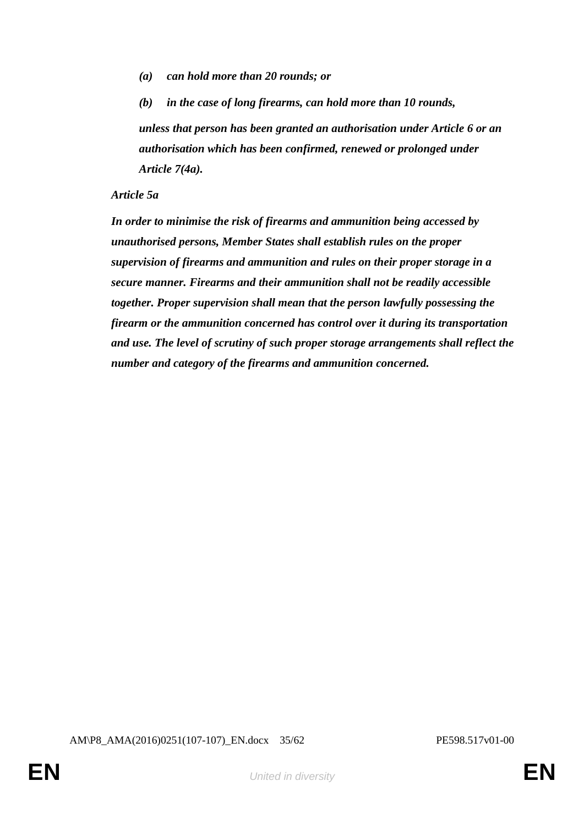*(a) can hold more than 20 rounds; or*

*(b) in the case of long firearms, can hold more than 10 rounds, unless that person has been granted an authorisation under Article 6 or an authorisation which has been confirmed, renewed or prolonged under Article 7(4a).*

#### *Article 5a*

*In order to minimise the risk of firearms and ammunition being accessed by unauthorised persons, Member States shall establish rules on the proper supervision of firearms and ammunition and rules on their proper storage in a secure manner. Firearms and their ammunition shall not be readily accessible together. Proper supervision shall mean that the person lawfully possessing the firearm or the ammunition concerned has control over it during its transportation and use. The level of scrutiny of such proper storage arrangements shall reflect the number and category of the firearms and ammunition concerned.*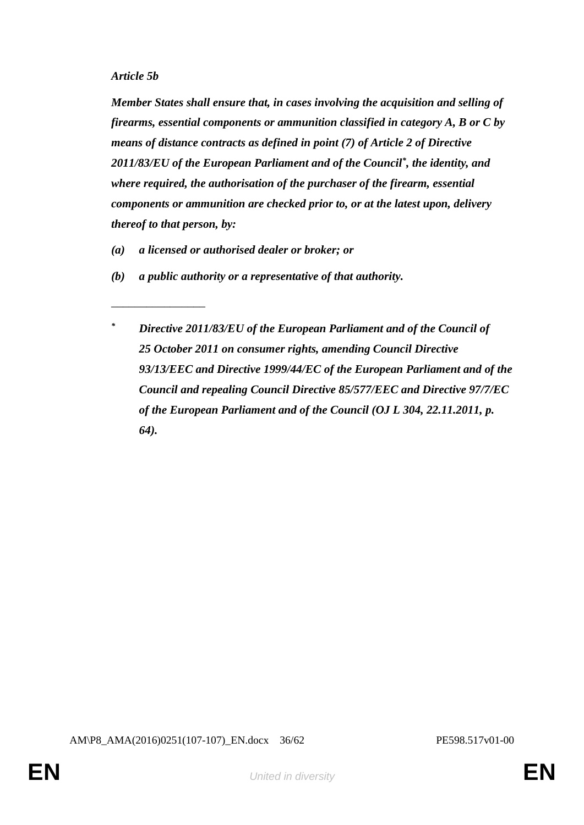\_\_\_\_\_\_\_\_\_\_\_\_\_\_\_\_

*Member States shall ensure that, in cases involving the acquisition and selling of firearms, essential components or ammunition classified in category A, B or C by means of distance contracts as defined in point (7) of Article 2 of Directive 2011/83/EU of the European Parliament and of the Council\* , the identity, and where required, the authorisation of the purchaser of the firearm, essential components or ammunition are checked prior to, or at the latest upon, delivery thereof to that person, by:*

- *(a) a licensed or authorised dealer or broker; or*
- *(b) a public authority or a representative of that authority.*
	- *\* Directive 2011/83/EU of the European Parliament and of the Council of 25 October 2011 on consumer rights, amending Council Directive 93/13/EEC and Directive 1999/44/EC of the European Parliament and of the Council and repealing Council Directive 85/577/EEC and Directive 97/7/EC of the European Parliament and of the Council (OJ L 304, 22.11.2011, p. 64).*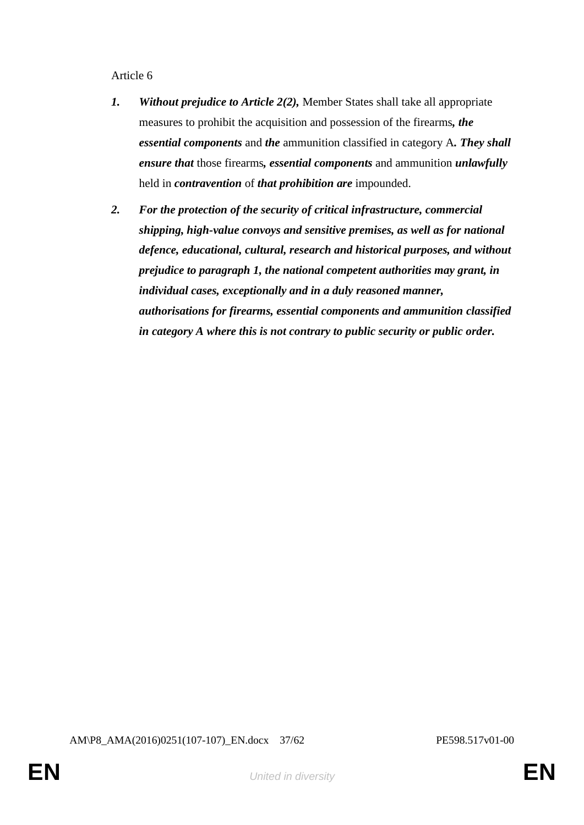Article 6

- *1. Without prejudice to Article 2(2),* Member States shall take all appropriate measures to prohibit the acquisition and possession of the firearms*, the essential components* and *the* ammunition classified in category A*. They shall ensure that* those firearms*, essential components* and ammunition *unlawfully* held in *contravention* of *that prohibition are* impounded.
- *2. For the protection of the security of critical infrastructure, commercial shipping, high-value convoys and sensitive premises, as well as for national defence, educational, cultural, research and historical purposes, and without prejudice to paragraph 1, the national competent authorities may grant, in individual cases, exceptionally and in a duly reasoned manner, authorisations for firearms, essential components and ammunition classified in category A where this is not contrary to public security or public order.*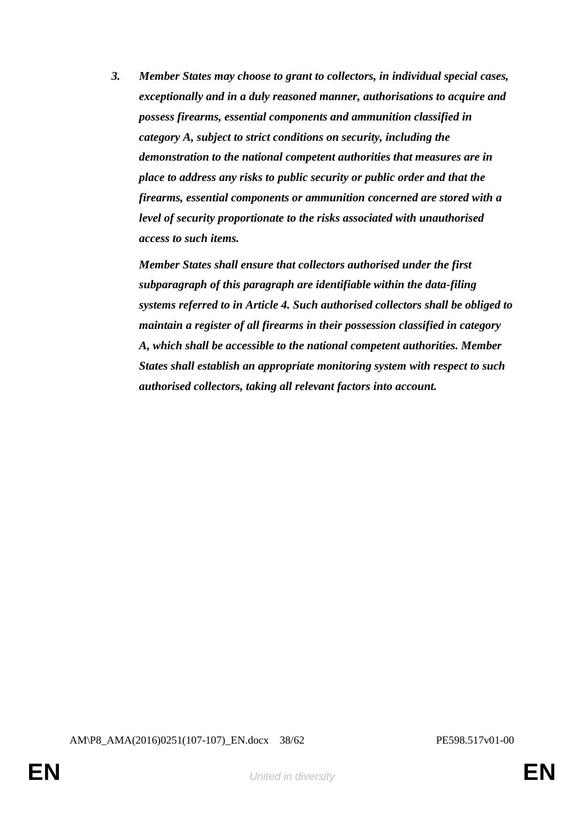*3. Member States may choose to grant to collectors, in individual special cases, exceptionally and in a duly reasoned manner, authorisations to acquire and possess firearms, essential components and ammunition classified in category A, subject to strict conditions on security, including the demonstration to the national competent authorities that measures are in place to address any risks to public security or public order and that the firearms, essential components or ammunition concerned are stored with a level of security proportionate to the risks associated with unauthorised access to such items.*

*Member States shall ensure that collectors authorised under the first subparagraph of this paragraph are identifiable within the data-filing systems referred to in Article 4. Such authorised collectors shall be obliged to maintain a register of all firearms in their possession classified in category A, which shall be accessible to the national competent authorities. Member States shall establish an appropriate monitoring system with respect to such authorised collectors, taking all relevant factors into account.*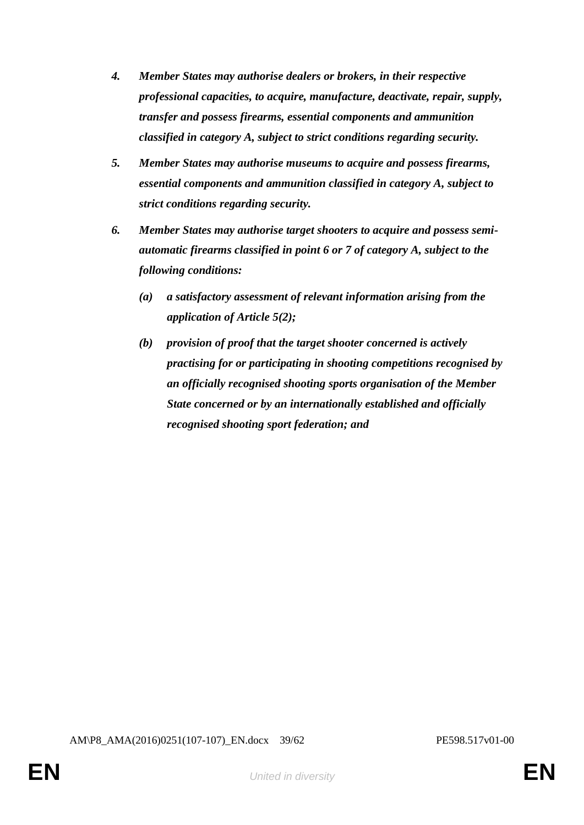- *4. Member States may authorise dealers or brokers, in their respective professional capacities, to acquire, manufacture, deactivate, repair, supply, transfer and possess firearms, essential components and ammunition classified in category A, subject to strict conditions regarding security.*
- *5. Member States may authorise museums to acquire and possess firearms, essential components and ammunition classified in category A, subject to strict conditions regarding security.*
- *6. Member States may authorise target shooters to acquire and possess semiautomatic firearms classified in point 6 or 7 of category A, subject to the following conditions:*
	- *(a) a satisfactory assessment of relevant information arising from the application of Article 5(2);*
	- *(b) provision of proof that the target shooter concerned is actively practising for or participating in shooting competitions recognised by an officially recognised shooting sports organisation of the Member State concerned or by an internationally established and officially recognised shooting sport federation; and*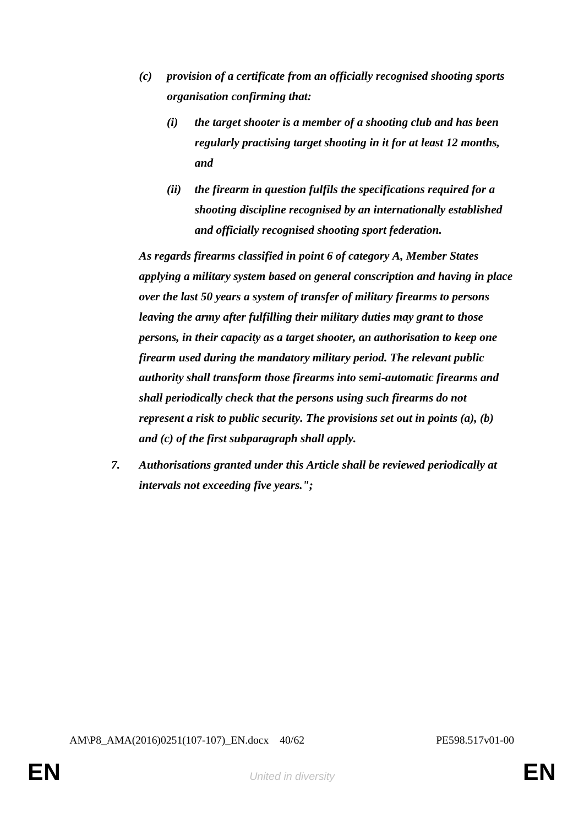- *(c) provision of a certificate from an officially recognised shooting sports organisation confirming that:*
	- *(i) the target shooter is a member of a shooting club and has been regularly practising target shooting in it for at least 12 months, and*
	- *(ii) the firearm in question fulfils the specifications required for a shooting discipline recognised by an internationally established and officially recognised shooting sport federation.*

*As regards firearms classified in point 6 of category A, Member States applying a military system based on general conscription and having in place over the last 50 years a system of transfer of military firearms to persons leaving the army after fulfilling their military duties may grant to those persons, in their capacity as a target shooter, an authorisation to keep one firearm used during the mandatory military period. The relevant public authority shall transform those firearms into semi-automatic firearms and shall periodically check that the persons using such firearms do not represent a risk to public security. The provisions set out in points (a), (b) and (c) of the first subparagraph shall apply.*

*7. Authorisations granted under this Article shall be reviewed periodically at intervals not exceeding five years.";*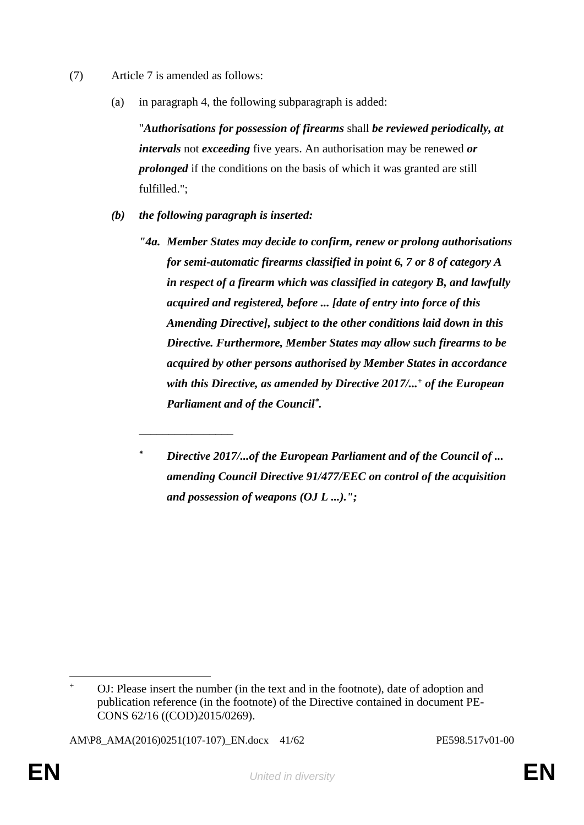- (7) Article 7 is amended as follows:
	- (a) in paragraph 4, the following subparagraph is added:

"*Authorisations for possession of firearms* shall *be reviewed periodically, at intervals* not *exceeding* five years. An authorisation may be renewed *or prolonged* if the conditions on the basis of which it was granted are still fulfilled.";

- *(b) the following paragraph is inserted:*
	- *"4a. Member States may decide to confirm, renew or prolong authorisations for semi-automatic firearms classified in point 6, 7 or 8 of category A in respect of a firearm which was classified in category B, and lawfully acquired and registered, before ... [date of entry into force of this Amending Directive], subject to the other conditions laid down in this Directive. Furthermore, Member States may allow such firearms to be acquired by other persons authorised by Member States in accordance with this Directive, as amended by Directive 2017/...<sup>+</sup> of the European Parliament and of the Council\* .*

\_\_\_\_\_\_\_\_\_\_\_\_\_\_\_\_

*<sup>\*</sup> Directive 2017/...of the European Parliament and of the Council of ... amending Council Directive 91/477/EEC on control of the acquisition and possession of weapons (OJ L ...).";*

 $\overline{a}$ OJ: Please insert the number (in the text and in the footnote), date of adoption and publication reference (in the footnote) of the Directive contained in document PE-CONS 62/16 ((COD)2015/0269).

AM\P8\_AMA(2016)0251(107-107)\_EN.docx 41/62 PE598.517v01-00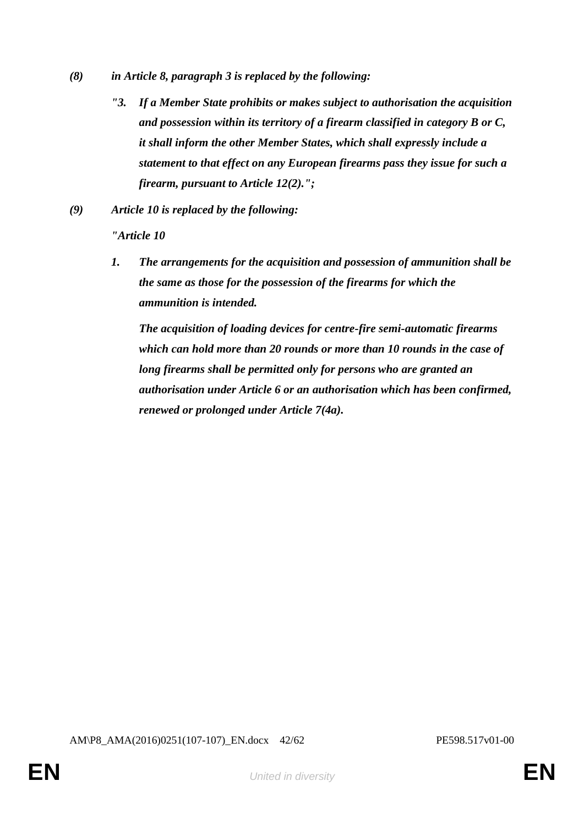- *(8) in Article 8, paragraph 3 is replaced by the following:*
	- *"3. If a Member State prohibits or makes subject to authorisation the acquisition and possession within its territory of a firearm classified in category B or C, it shall inform the other Member States, which shall expressly include a statement to that effect on any European firearms pass they issue for such a firearm, pursuant to Article 12(2).";*
- *(9) Article 10 is replaced by the following:*

*"Article 10*

*1. The arrangements for the acquisition and possession of ammunition shall be the same as those for the possession of the firearms for which the ammunition is intended.* 

*The acquisition of loading devices for centre-fire semi-automatic firearms which can hold more than 20 rounds or more than 10 rounds in the case of long firearms shall be permitted only for persons who are granted an authorisation under Article 6 or an authorisation which has been confirmed, renewed or prolonged under Article 7(4a).*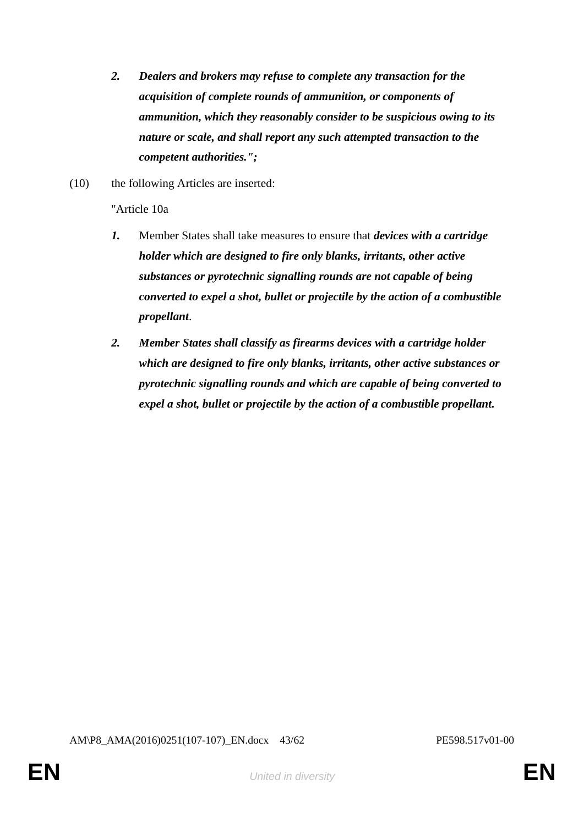- *2. Dealers and brokers may refuse to complete any transaction for the acquisition of complete rounds of ammunition, or components of ammunition, which they reasonably consider to be suspicious owing to its nature or scale, and shall report any such attempted transaction to the competent authorities.";*
- (10) the following Articles are inserted:

"Article 10a

- *1.* Member States shall take measures to ensure that *devices with a cartridge holder which are designed to fire only blanks, irritants, other active substances or pyrotechnic signalling rounds are not capable of being converted to expel a shot, bullet or projectile by the action of a combustible propellant*.
- *2. Member States shall classify as firearms devices with a cartridge holder which are designed to fire only blanks, irritants, other active substances or pyrotechnic signalling rounds and which are capable of being converted to expel a shot, bullet or projectile by the action of a combustible propellant.*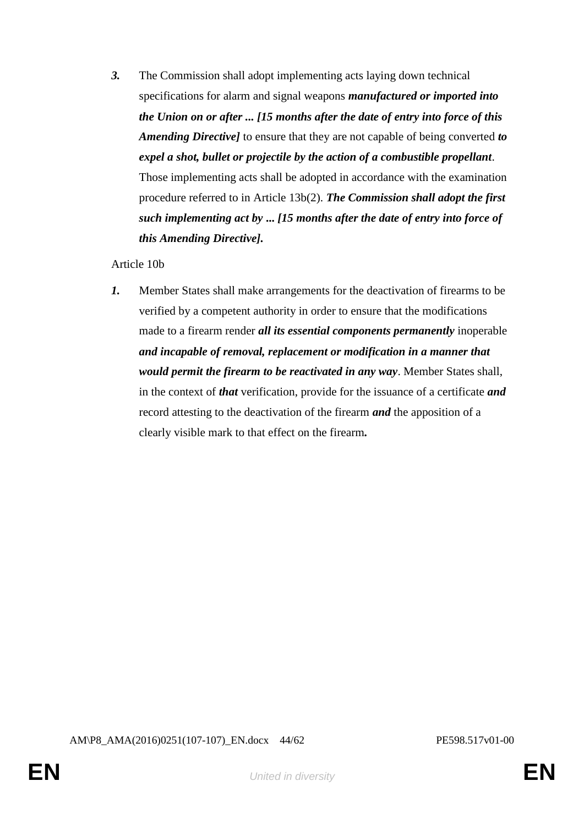*3.* The Commission shall adopt implementing acts laying down technical specifications for alarm and signal weapons *manufactured or imported into the Union on or after ... [15 months after the date of entry into force of this Amending Directive]* to ensure that they are not capable of being converted *to expel a shot, bullet or projectile by the action of a combustible propellant*. Those implementing acts shall be adopted in accordance with the examination procedure referred to in Article 13b(2). *The Commission shall adopt the first such implementing act by* **...** *[15 months after the date of entry into force of this Amending Directive].*

## Article 10b

*1.* Member States shall make arrangements for the deactivation of firearms to be verified by a competent authority in order to ensure that the modifications made to a firearm render *all its essential components permanently* inoperable *and incapable of removal, replacement or modification in a manner that would permit the firearm to be reactivated in any way*. Member States shall, in the context of *that* verification, provide for the issuance of a certificate *and* record attesting to the deactivation of the firearm *and* the apposition of a clearly visible mark to that effect on the firearm*.*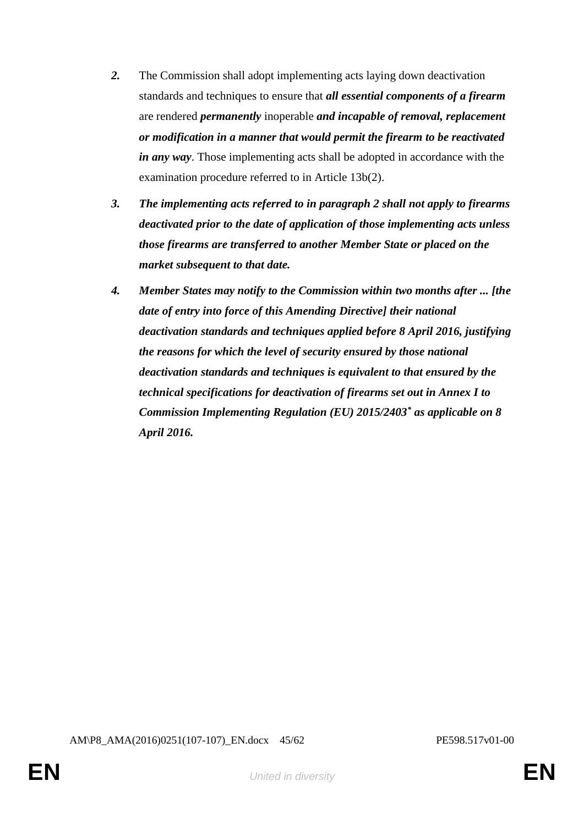- *2.* The Commission shall adopt implementing acts laying down deactivation standards and techniques to ensure that *all essential components of a firearm*  are rendered *permanently* inoperable *and incapable of removal, replacement or modification in a manner that would permit the firearm to be reactivated in any way*. Those implementing acts shall be adopted in accordance with the examination procedure referred to in Article 13b(2).
- *3. The implementing acts referred to in paragraph 2 shall not apply to firearms deactivated prior to the date of application of those implementing acts unless those firearms are transferred to another Member State or placed on the market subsequent to that date.*
- *4. Member States may notify to the Commission within two months after ... [the date of entry into force of this Amending Directive] their national deactivation standards and techniques applied before 8 April 2016, justifying the reasons for which the level of security ensured by those national deactivation standards and techniques is equivalent to that ensured by the technical specifications for deactivation of firearms set out in Annex I to Commission Implementing Regulation (EU) 2015/2403\* as applicable on 8 April 2016.*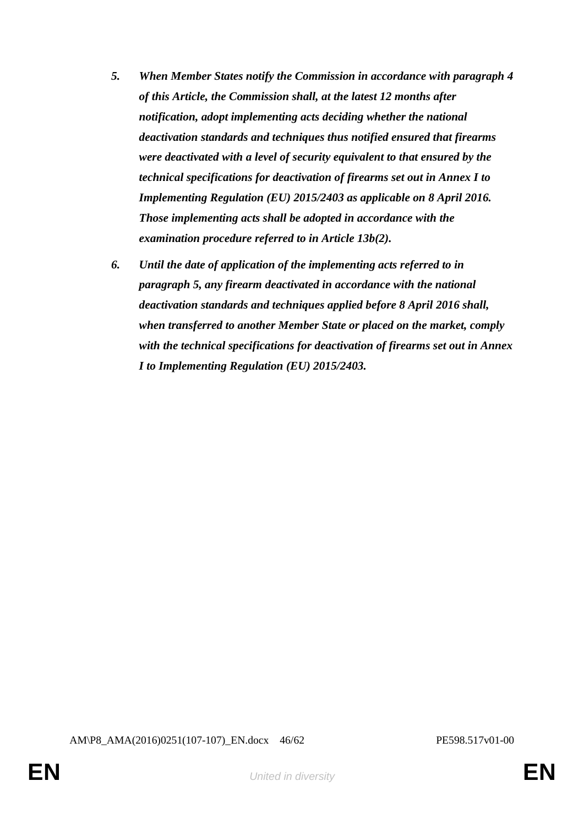- *5. When Member States notify the Commission in accordance with paragraph 4 of this Article, the Commission shall, at the latest 12 months after notification, adopt implementing acts deciding whether the national deactivation standards and techniques thus notified ensured that firearms were deactivated with a level of security equivalent to that ensured by the technical specifications for deactivation of firearms set out in Annex I to Implementing Regulation (EU) 2015/2403 as applicable on 8 April 2016. Those implementing acts shall be adopted in accordance with the examination procedure referred to in Article 13b(2).*
- *6. Until the date of application of the implementing acts referred to in paragraph 5, any firearm deactivated in accordance with the national deactivation standards and techniques applied before 8 April 2016 shall, when transferred to another Member State or placed on the market, comply with the technical specifications for deactivation of firearms set out in Annex I to Implementing Regulation (EU) 2015/2403.*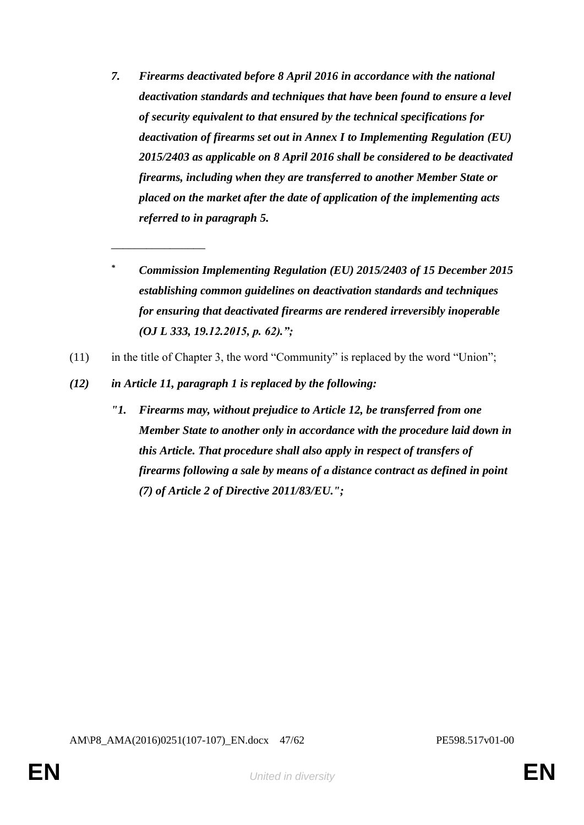- *7. Firearms deactivated before 8 April 2016 in accordance with the national deactivation standards and techniques that have been found to ensure a level of security equivalent to that ensured by the technical specifications for deactivation of firearms set out in Annex I to Implementing Regulation (EU) 2015/2403 as applicable on 8 April 2016 shall be considered to be deactivated firearms, including when they are transferred to another Member State or placed on the market after the date of application of the implementing acts referred to in paragraph 5.*
- *\* Commission Implementing Regulation (EU) 2015/2403 of 15 December 2015 establishing common guidelines on deactivation standards and techniques for ensuring that deactivated firearms are rendered irreversibly inoperable (OJ L 333, 19.12.2015, p. 62).";*
- (11) in the title of Chapter 3, the word "Community" is replaced by the word "Union";
- *(12) in Article 11, paragraph 1 is replaced by the following:*

\_\_\_\_\_\_\_\_\_\_\_\_\_\_\_\_

*"1. Firearms may, without prejudice to Article 12, be transferred from one Member State to another only in accordance with the procedure laid down in this Article. That procedure shall also apply in respect of transfers of firearms following a sale by means of a distance contract as defined in point (7) of Article 2 of Directive 2011/83/EU.";*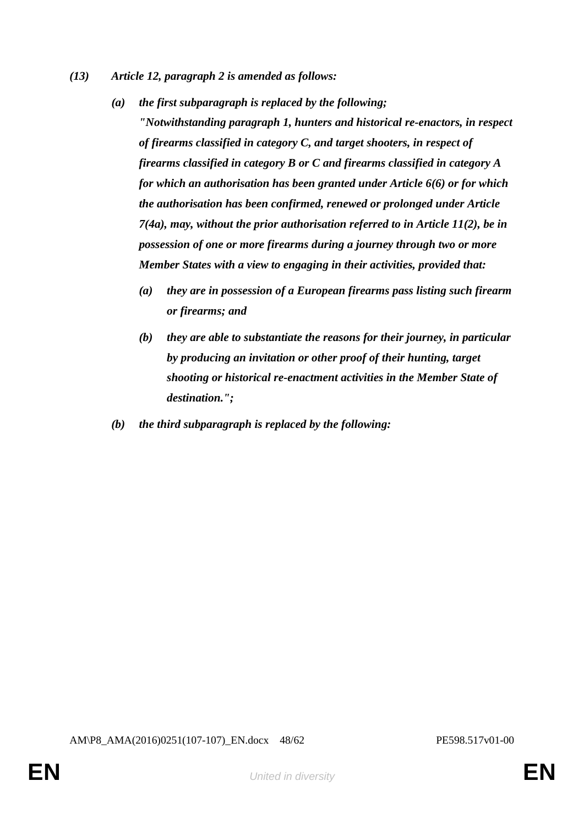- *(13) Article 12, paragraph 2 is amended as follows:*
	- *(a) the first subparagraph is replaced by the following; "Notwithstanding paragraph 1, hunters and historical re-enactors, in respect of firearms classified in category C, and target shooters, in respect of firearms classified in category B or C and firearms classified in category A for which an authorisation has been granted under Article 6(6) or for which the authorisation has been confirmed, renewed or prolonged under Article 7(4a), may, without the prior authorisation referred to in Article 11(2), be in possession of one or more firearms during a journey through two or more Member States with a view to engaging in their activities, provided that:*
		- *(a) they are in possession of a European firearms pass listing such firearm or firearms; and*
		- *(b) they are able to substantiate the reasons for their journey, in particular by producing an invitation or other proof of their hunting, target shooting or historical re-enactment activities in the Member State of destination.";*
	- *(b) the third subparagraph is replaced by the following:*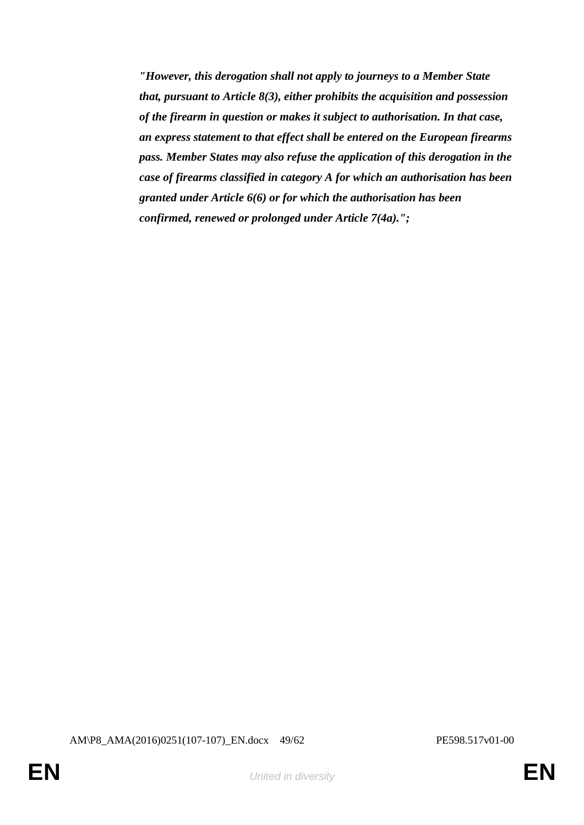*"However, this derogation shall not apply to journeys to a Member State that, pursuant to Article 8(3), either prohibits the acquisition and possession of the firearm in question or makes it subject to authorisation. In that case, an express statement to that effect shall be entered on the European firearms pass. Member States may also refuse the application of this derogation in the case of firearms classified in category A for which an authorisation has been granted under Article 6(6) or for which the authorisation has been confirmed, renewed or prolonged under Article 7(4a).";*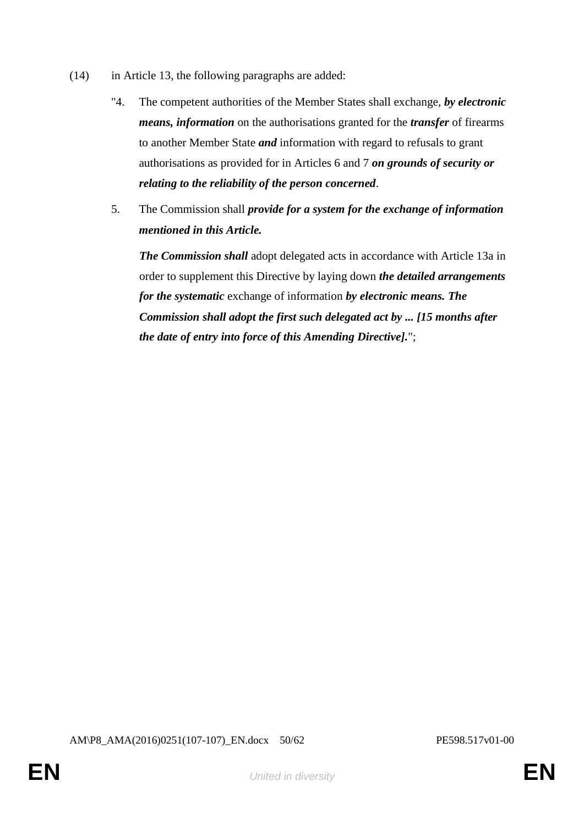- (14) in Article 13, the following paragraphs are added:
	- "4. The competent authorities of the Member States shall exchange, *by electronic means, information* on the authorisations granted for the *transfer* of firearms to another Member State *and* information with regard to refusals to grant authorisations as provided for in Articles 6 and 7 *on grounds of security or relating to the reliability of the person concerned*.
	- 5. The Commission shall *provide for a system for the exchange of information mentioned in this Article.*

*The Commission shall* adopt delegated acts in accordance with Article 13a in order to supplement this Directive by laying down *the detailed arrangements for the systematic* exchange of information *by electronic means. The Commission shall adopt the first such delegated act by ... [15 months after the date of entry into force of this Amending Directive].*";

AM\P8\_AMA(2016)0251(107-107)\_EN.docx 50/62 PE598.517v01-00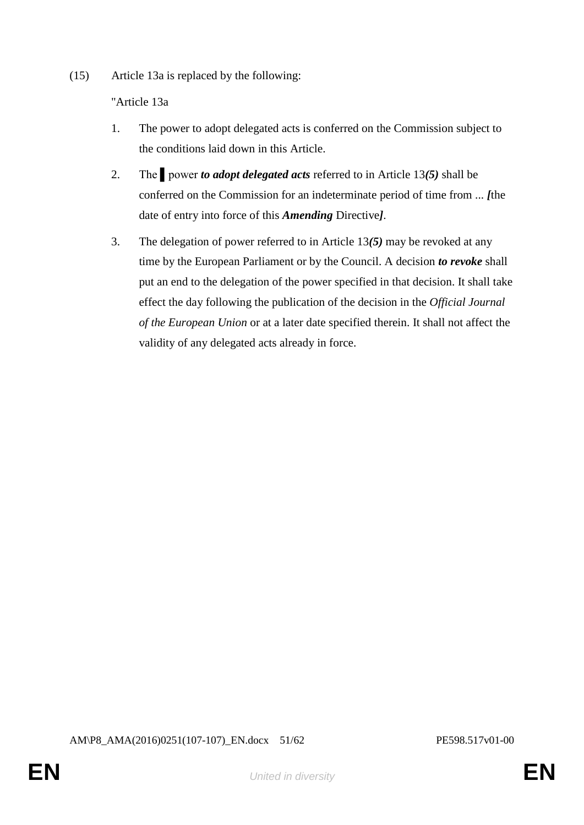(15) Article 13a is replaced by the following:

"Article 13a

- 1. The power to adopt delegated acts is conferred on the Commission subject to the conditions laid down in this Article.
- 2. The ▌power *to adopt delegated acts* referred to in Article 13*(5)* shall be conferred on the Commission for an indeterminate period of time from ... *[*the date of entry into force of this *Amending* Directive*]*.
- 3. The delegation of power referred to in Article 13*(5)* may be revoked at any time by the European Parliament or by the Council. A decision *to revoke* shall put an end to the delegation of the power specified in that decision. It shall take effect the day following the publication of the decision in the *Official Journal of the European Union* or at a later date specified therein. It shall not affect the validity of any delegated acts already in force.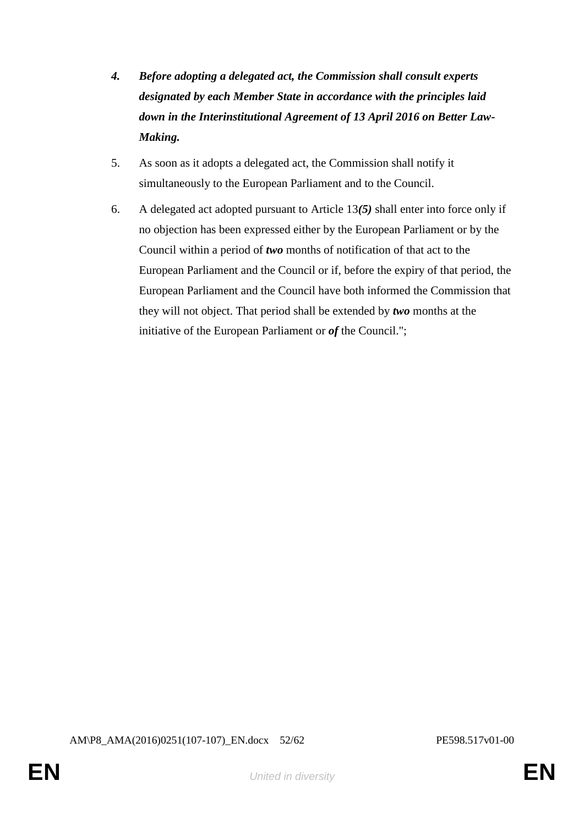- *4. Before adopting a delegated act, the Commission shall consult experts designated by each Member State in accordance with the principles laid down in the Interinstitutional Agreement of 13 April 2016 on Better Law-Making.*
- 5. As soon as it adopts a delegated act, the Commission shall notify it simultaneously to the European Parliament and to the Council.
- 6. A delegated act adopted pursuant to Article 13*(5)* shall enter into force only if no objection has been expressed either by the European Parliament or by the Council within a period of *two* months of notification of that act to the European Parliament and the Council or if, before the expiry of that period, the European Parliament and the Council have both informed the Commission that they will not object. That period shall be extended by *two* months at the initiative of the European Parliament or *of* the Council.";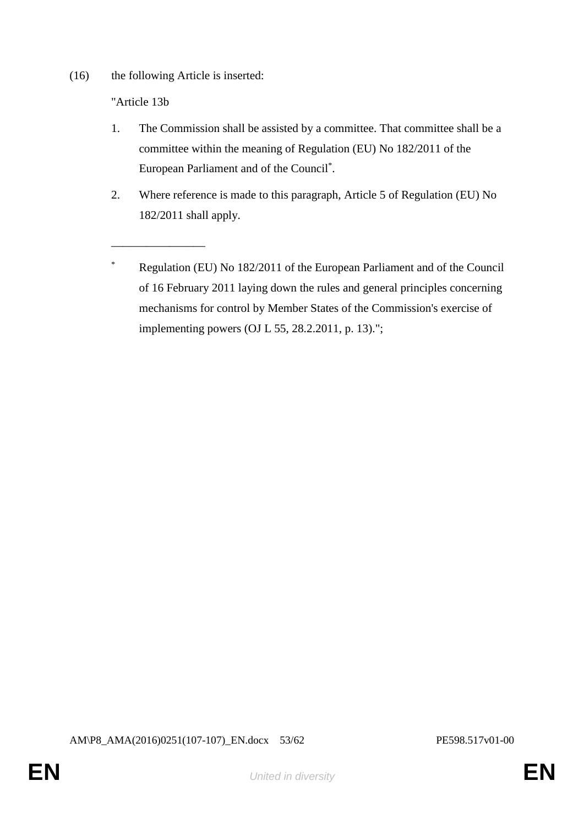(16) the following Article is inserted:

\_\_\_\_\_\_\_\_\_\_\_\_\_\_\_\_

"Article 13b

- 1. The Commission shall be assisted by a committee. That committee shall be a committee within the meaning of Regulation (EU) No 182/2011 of the European Parliament and of the Council\* .
- 2. Where reference is made to this paragraph, Article 5 of Regulation (EU) No 182/2011 shall apply.
- \* Regulation (EU) No 182/2011 of the European Parliament and of the Council of 16 February 2011 laying down the rules and general principles concerning mechanisms for control by Member States of the Commission's exercise of implementing powers (OJ L 55, 28.2.2011, p. 13).";

AM\P8\_AMA(2016)0251(107-107)\_EN.docx 53/62 PE598.517v01-00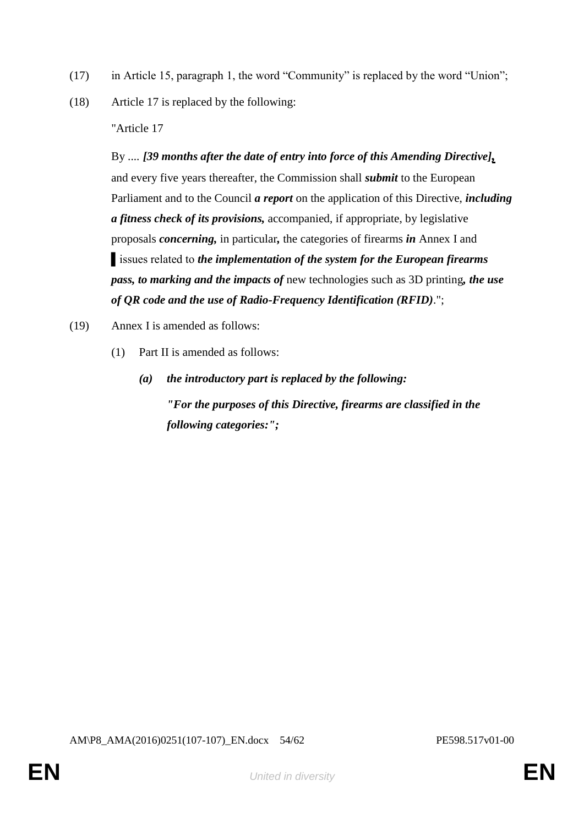- (17) in Article 15, paragraph 1, the word "Community" is replaced by the word "Union";
- (18) Article 17 is replaced by the following:

"Article 17

By .... *[39 months after the date of entry into force of this Amending Directive],* and every five years thereafter, the Commission shall *submit* to the European Parliament and to the Council *a report* on the application of this Directive, *including a fitness check of its provisions,* accompanied, if appropriate, by legislative proposals *concerning,* in particular*,* the categories of firearms *in* Annex I and ▌issues related to *the implementation of the system for the European firearms pass, to marking and the impacts of* new technologies such as 3D printing*, the use of QR code and the use of Radio-Frequency Identification (RFID)*.";

- (19) Annex I is amended as follows:
	- (1) Part II is amended as follows:
		- *(a) the introductory part is replaced by the following: "For the purposes of this Directive, firearms are classified in the following categories:";*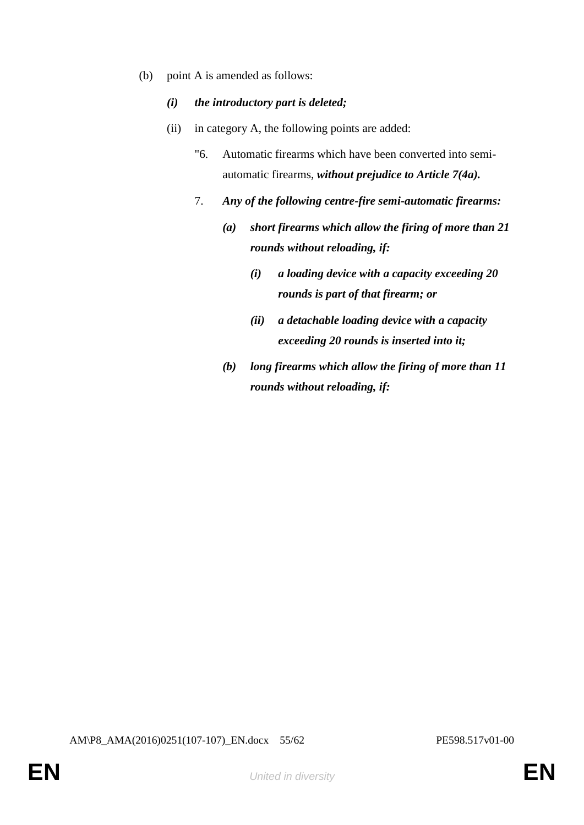- (b) point A is amended as follows:
	- *(i) the introductory part is deleted;*
	- (ii) in category A, the following points are added:
		- "6. Automatic firearms which have been converted into semiautomatic firearms, *without prejudice to Article 7(4a).*
		- 7. *Any of the following centre-fire semi-automatic firearms:*
			- *(a) short firearms which allow the firing of more than 21 rounds without reloading, if:*
				- *(i) a loading device with a capacity exceeding 20 rounds is part of that firearm; or*
				- *(ii) a detachable loading device with a capacity exceeding 20 rounds is inserted into it;*
			- *(b) long firearms which allow the firing of more than 11 rounds without reloading, if:*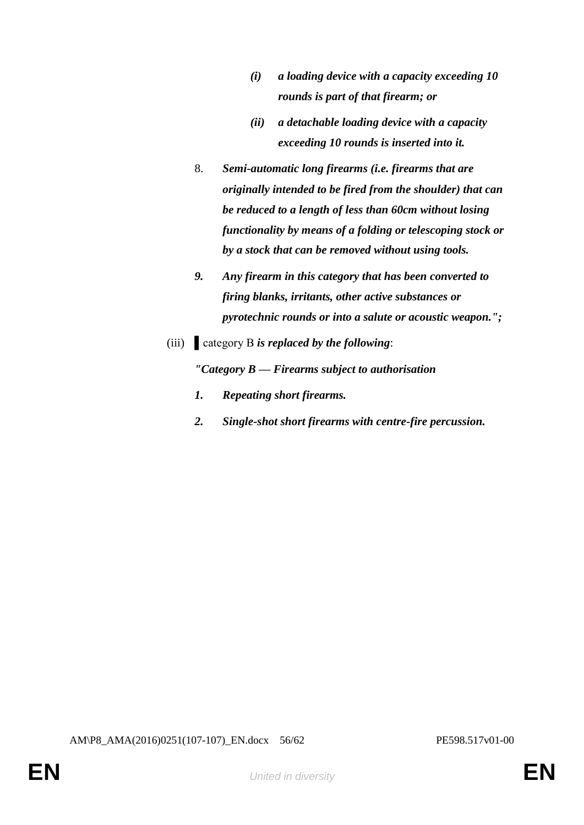- *(i) a loading device with a capacity exceeding 10 rounds is part of that firearm; or*
- *(ii) a detachable loading device with a capacity exceeding 10 rounds is inserted into it.*
- 8. *Semi-automatic long firearms (i.e. firearms that are originally intended to be fired from the shoulder) that can be reduced to a length of less than 60cm without losing functionality by means of a folding or telescoping stock or by a stock that can be removed without using tools.*
- *9. Any firearm in this category that has been converted to firing blanks, irritants, other active substances or pyrotechnic rounds or into a salute or acoustic weapon.";*
- (iii) ▌category B *is replaced by the following*:

*"Category B — Firearms subject to authorisation*

- *1. Repeating short firearms.*
- *2. Single-shot short firearms with centre-fire percussion.*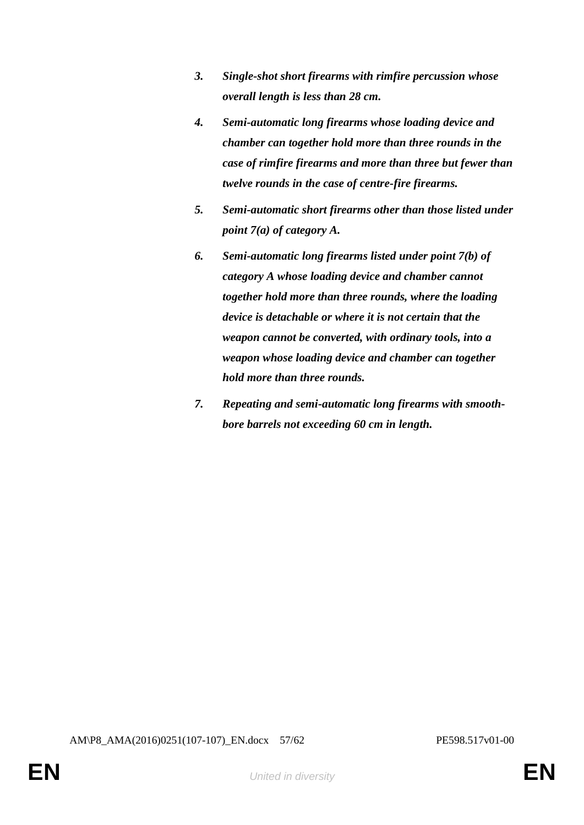- *3. Single-shot short firearms with rimfire percussion whose overall length is less than 28 cm.*
- *4. Semi-automatic long firearms whose loading device and chamber can together hold more than three rounds in the case of rimfire firearms and more than three but fewer than twelve rounds in the case of centre-fire firearms.*
- *5. Semi-automatic short firearms other than those listed under point 7(a) of category A.*
- *6. Semi-automatic long firearms listed under point 7(b) of category A whose loading device and chamber cannot together hold more than three rounds, where the loading device is detachable or where it is not certain that the weapon cannot be converted, with ordinary tools, into a weapon whose loading device and chamber can together hold more than three rounds.*
- *7. Repeating and semi-automatic long firearms with smoothbore barrels not exceeding 60 cm in length.*

AM\P8\_AMA(2016)0251(107-107)\_EN.docx 57/62 PE598.517v01-00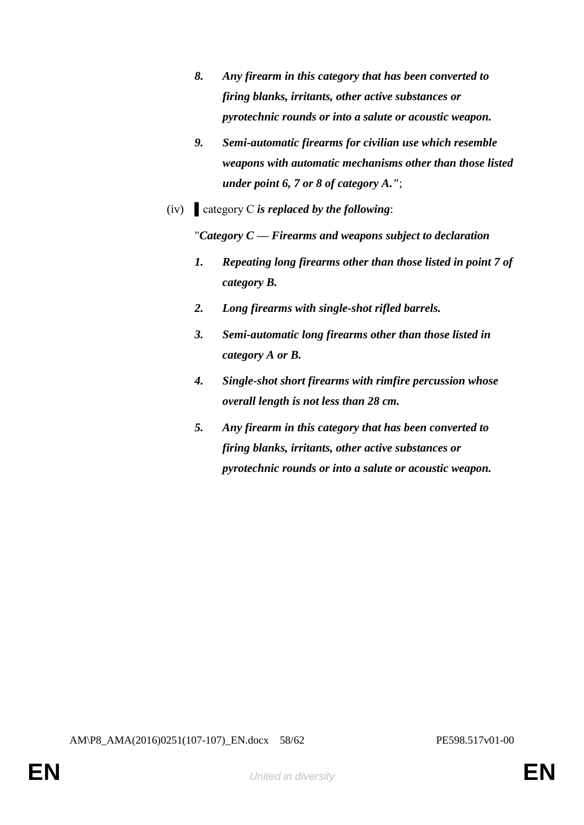- *8. Any firearm in this category that has been converted to firing blanks, irritants, other active substances or pyrotechnic rounds or into a salute or acoustic weapon.*
- *9. Semi-automatic firearms for civilian use which resemble weapons with automatic mechanisms other than those listed under point 6, 7 or 8 of category A."*;
- (iv) ▌category C *is replaced by the following*:

"*Category C — Firearms and weapons subject to declaration*

- *1. Repeating long firearms other than those listed in point 7 of category B.*
- *2. Long firearms with single-shot rifled barrels.*
- *3. Semi-automatic long firearms other than those listed in category A or B.*
- *4. Single-shot short firearms with rimfire percussion whose overall length is not less than 28 cm.*
- *5. Any firearm in this category that has been converted to firing blanks, irritants, other active substances or pyrotechnic rounds or into a salute or acoustic weapon.*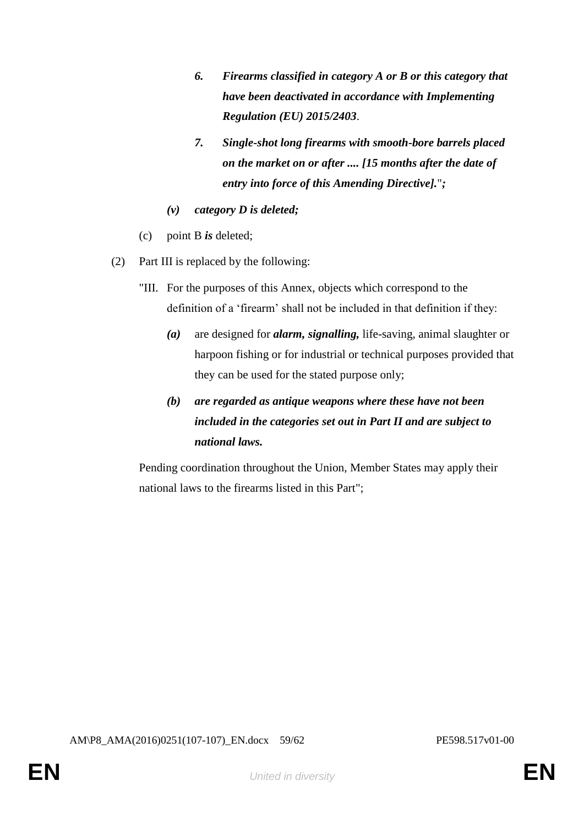- *6. Firearms classified in category A or B or this category that have been deactivated in accordance with Implementing Regulation (EU) 2015/2403*.
- *7. Single-shot long firearms with smooth-bore barrels placed on the market on or after .... [15 months after the date of entry into force of this Amending Directive].*"*;*
- *(v) category D is deleted;*
- (c) point B *is* deleted;
- (2) Part III is replaced by the following:
	- "III. For the purposes of this Annex, objects which correspond to the definition of a 'firearm' shall not be included in that definition if they:
		- *(a)* are designed for *alarm, signalling,* life-saving, animal slaughter or harpoon fishing or for industrial or technical purposes provided that they can be used for the stated purpose only;
		- *(b) are regarded as antique weapons where these have not been included in the categories set out in Part II and are subject to national laws.*

Pending coordination throughout the Union, Member States may apply their national laws to the firearms listed in this Part";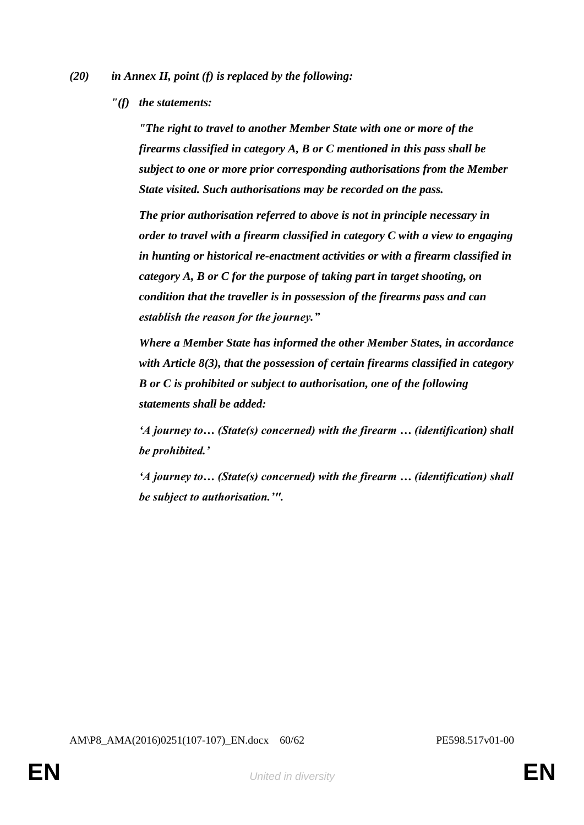- *(20) in Annex II, point (f) is replaced by the following:*
	- *"(f) the statements:*

*"The right to travel to another Member State with one or more of the firearms classified in category A, B or C mentioned in this pass shall be subject to one or more prior corresponding authorisations from the Member State visited. Such authorisations may be recorded on the pass.*

*The prior authorisation referred to above is not in principle necessary in order to travel with a firearm classified in category C with a view to engaging in hunting or historical re-enactment activities or with a firearm classified in category A, B or C for the purpose of taking part in target shooting, on condition that the traveller is in possession of the firearms pass and can establish the reason for the journey."*

*Where a Member State has informed the other Member States, in accordance with Article 8(3), that the possession of certain firearms classified in category B or C is prohibited or subject to authorisation, one of the following statements shall be added:*

*'A journey to… (State(s) concerned) with the firearm … (identification) shall be prohibited.'*

*'A journey to… (State(s) concerned) with the firearm … (identification) shall be subject to authorisation.'".*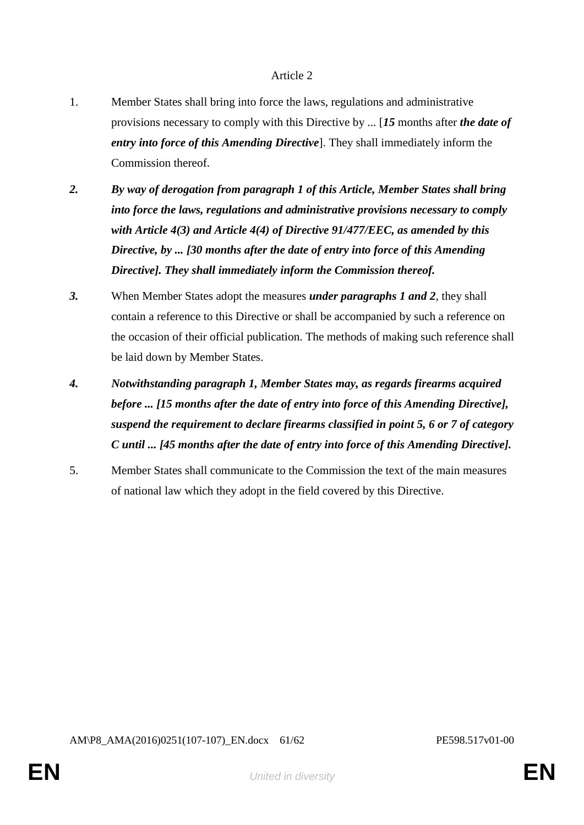## Article 2

- 1. Member States shall bring into force the laws, regulations and administrative provisions necessary to comply with this Directive by ... [*15* months after *the date of entry into force of this Amending Directive*]. They shall immediately inform the Commission thereof.
- *2. By way of derogation from paragraph 1 of this Article, Member States shall bring into force the laws, regulations and administrative provisions necessary to comply with Article 4(3) and Article 4(4) of Directive 91/477/EEC, as amended by this Directive, by ... [30 months after the date of entry into force of this Amending Directive]. They shall immediately inform the Commission thereof.*
- *3.* When Member States adopt the measures *under paragraphs 1 and 2*, they shall contain a reference to this Directive or shall be accompanied by such a reference on the occasion of their official publication. The methods of making such reference shall be laid down by Member States.
- *4. Notwithstanding paragraph 1, Member States may, as regards firearms acquired before ... [15 months after the date of entry into force of this Amending Directive], suspend the requirement to declare firearms classified in point 5, 6 or 7 of category C until ... [45 months after the date of entry into force of this Amending Directive].*
- 5. Member States shall communicate to the Commission the text of the main measures of national law which they adopt in the field covered by this Directive.